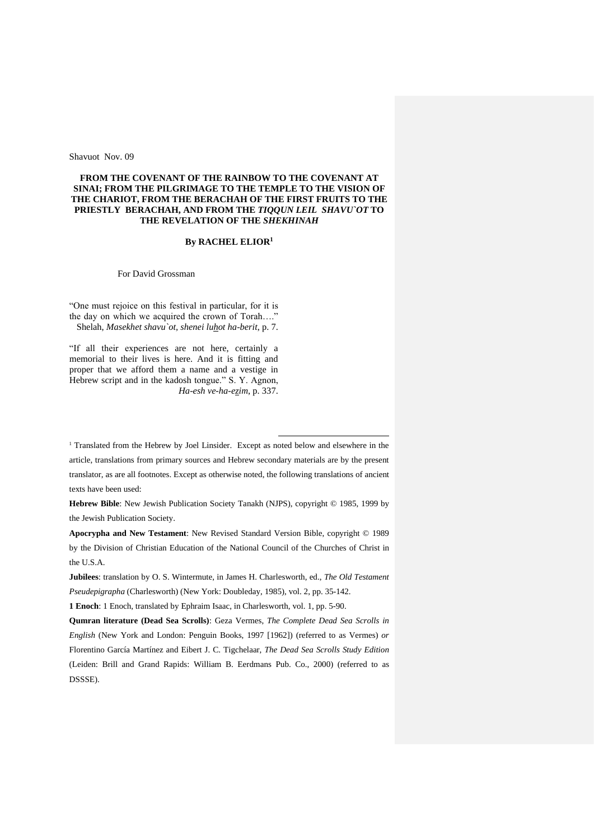Shavuot Nov. 09

## **FROM THE COVENANT OF THE RAINBOW TO THE COVENANT AT SINAI; FROM THE PILGRIMAGE TO THE TEMPLE TO THE VISION OF THE CHARIOT, FROM THE BERACHAH OF THE FIRST FRUITS TO THE PRIESTLY BERACHAH, AND FROM THE** *TIQQUN LEIL SHAVU`OT* **TO THE REVELATION OF THE** *SHEKHINAH*

## **By RACHEL ELIOR<sup>1</sup>**

For David Grossman

"One must rejoice on this festival in particular, for it is the day on which we acquired the crown of Torah…." Shelah, *Masekhet shavu`ot, shenei luhot ha-berit*, p. 7.

"If all their experiences are not here, certainly a memorial to their lives is here. And it is fitting and proper that we afford them a name and a vestige in Hebrew script and in the kadosh tongue." S. Y. Agnon, *Ha-esh ve-ha-ezim*, p. 337.

<sup>1</sup> Translated from the Hebrew by Joel Linsider. Except as noted below and elsewhere in the article, translations from primary sources and Hebrew secondary materials are by the present translator, as are all footnotes. Except as otherwise noted, the following translations of ancient texts have been used:

**Hebrew Bible**: New Jewish Publication Society Tanakh (NJPS), copyright © 1985, 1999 by the Jewish Publication Society.

**Apocrypha and New Testament**: New Revised Standard Version Bible, copyright © 1989 by the Division of Christian Education of the National Council of the Churches of Christ in the U.S.A.

**Jubilees**: translation by O. S. Wintermute, in James H. Charlesworth, ed., *The Old Testament Pseudepigrapha* (Charlesworth) (New York: Doubleday, 1985), vol. 2, pp. 35-142.

**1 Enoch**: 1 Enoch, translated by Ephraim Isaac, in Charlesworth, vol. 1, pp. 5-90.

**Qumran literature (Dead Sea Scrolls)**: Geza Vermes, *The Complete Dead Sea Scrolls in English* (New York and London: Penguin Books, 1997 [1962]) (referred to as Vermes) *or* Florentino García Martínez and Eibert J. C. Tigchelaar, *The Dead Sea Scrolls Study Edition* (Leiden: Brill and Grand Rapids: William B. Eerdmans Pub. Co., 2000) (referred to as DSSSE).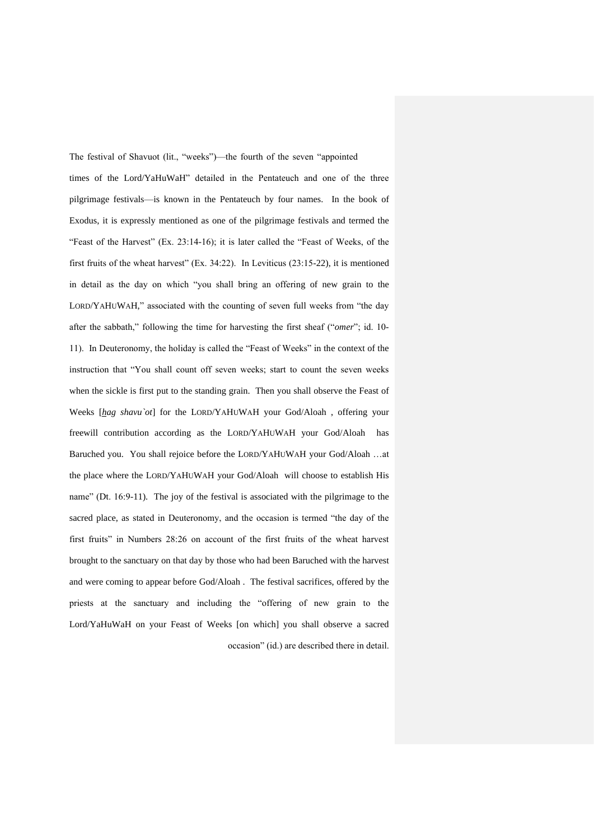The festival of Shavuot (lit., "weeks")—the fourth of the seven "appointed times of the Lord/YaHuWaH" detailed in the Pentateuch and one of the three pilgrimage festivals—is known in the Pentateuch by four names. In the book of Exodus, it is expressly mentioned as one of the pilgrimage festivals and termed the "Feast of the Harvest" (Ex. 23:14-16); it is later called the "Feast of Weeks, of the first fruits of the wheat harvest" (Ex. 34:22). In Leviticus (23:15-22), it is mentioned in detail as the day on which "you shall bring an offering of new grain to the LORD/YAHUWAH," associated with the counting of seven full weeks from "the day after the sabbath," following the time for harvesting the first sheaf ("*omer*"; id. 10- 11). In Deuteronomy, the holiday is called the "Feast of Weeks" in the context of the instruction that "You shall count off seven weeks; start to count the seven weeks when the sickle is first put to the standing grain. Then you shall observe the Feast of Weeks [*hag shavu`ot*] for the LORD/YAHUWAH your God/Aloah , offering your freewill contribution according as the LORD/YAHUWAH your God/Aloah has Baruched you. You shall rejoice before the LORD/YAHUWAH your God/Aloah …at the place where the LORD/YAHUWAH your God/Aloah will choose to establish His name" (Dt. 16:9-11). The joy of the festival is associated with the pilgrimage to the sacred place, as stated in Deuteronomy, and the occasion is termed "the day of the first fruits" in Numbers 28:26 on account of the first fruits of the wheat harvest brought to the sanctuary on that day by those who had been Baruched with the harvest and were coming to appear before God/Aloah . The festival sacrifices, offered by the priests at the sanctuary and including the "offering of new grain to the Lord/YaHuWaH on your Feast of Weeks [on which] you shall observe a sacred occasion" (id.) are described there in detail.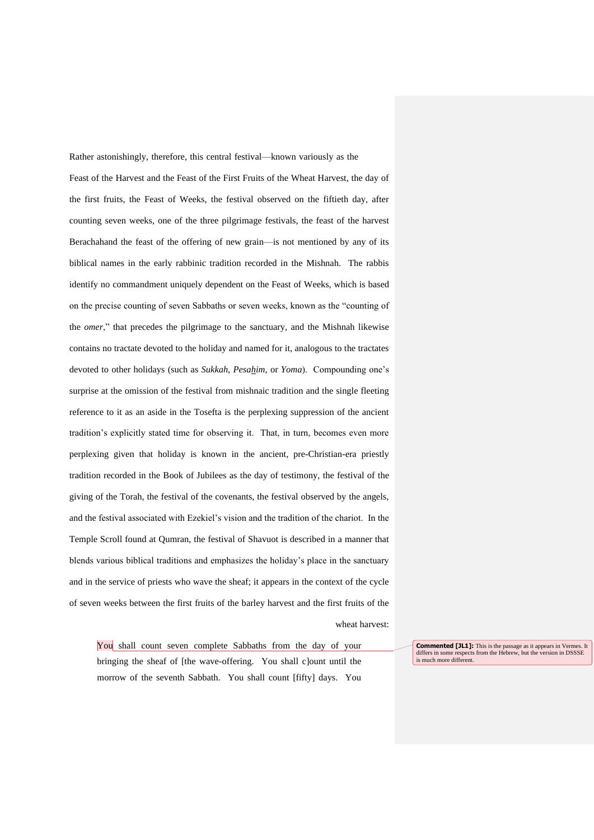Rather astonishingly, therefore, this central festival—known variously as the Feast of the Harvest and the Feast of the First Fruits of the Wheat Harvest, the day of the first fruits, the Feast of Weeks, the festival observed on the fiftieth day, after counting seven weeks, one of the three pilgrimage festivals, the feast of the harvest Berachahand the feast of the offering of new grain—is not mentioned by any of its biblical names in the early rabbinic tradition recorded in the Mishnah. The rabbis identify no commandment uniquely dependent on the Feast of Weeks, which is based on the precise counting of seven Sabbaths or seven weeks, known as the "counting of the *omer*," that precedes the pilgrimage to the sanctuary, and the Mishnah likewise contains no tractate devoted to the holiday and named for it, analogous to the tractates devoted to other holidays (such as *Sukkah*, *Pesahim*, or *Yoma*). Compounding one's surprise at the omission of the festival from mishnaic tradition and the single fleeting reference to it as an aside in the Tosefta is the perplexing suppression of the ancient tradition's explicitly stated time for observing it. That, in turn, becomes even more perplexing given that holiday is known in the ancient, pre-Christian-era priestly tradition recorded in the Book of Jubilees as the day of testimony, the festival of the giving of the Torah, the festival of the covenants, the festival observed by the angels, and the festival associated with Ezekiel's vision and the tradition of the chariot. In the Temple Scroll found at Qumran, the festival of Shavuot is described in a manner that blends various biblical traditions and emphasizes the holiday's place in the sanctuary and in the service of priests who wave the sheaf; it appears in the context of the cycle of seven weeks between the first fruits of the barley harvest and the first fruits of the

wheat harvest:

You shall count seven complete Sabbaths from the day of your bringing the sheaf of [the wave-offering. You shall c]ount until the morrow of the seventh Sabbath. You shall count [fifty] days. You

**Commented [JL1]:** This is the passage as it appears in Vermes. It differs in some respects from the Hebrew, but the version in DSSSE is much more different.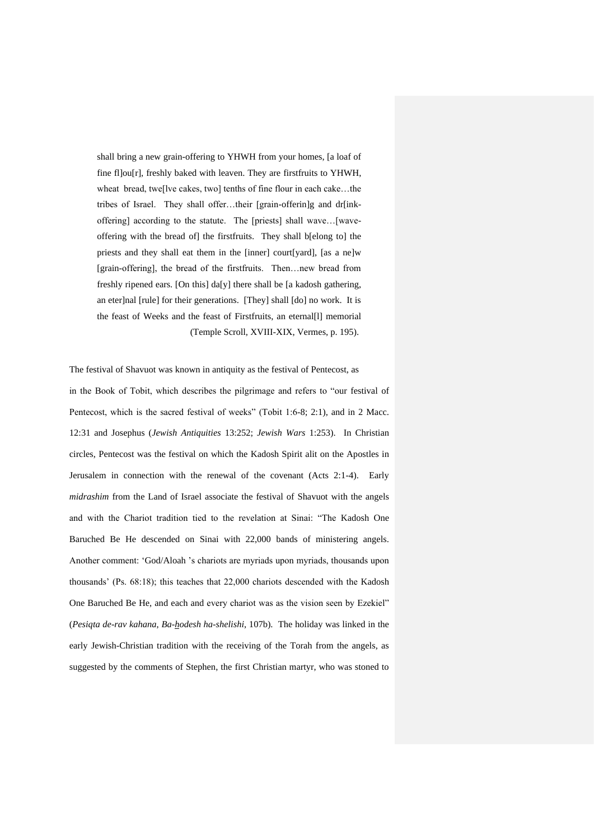shall bring a new grain-offering to YHWH from your homes, [a loaf of fine fl]ou[r], freshly baked with leaven. They are firstfruits to YHWH, wheat bread, twe[lve cakes, two] tenths of fine flour in each cake…the tribes of Israel. They shall offer…their [grain-offerin]g and dr[inkoffering] according to the statute. The [priests] shall wave…[waveoffering with the bread of] the firstfruits. They shall b[elong to] the priests and they shall eat them in the [inner] court[yard], [as a ne]w [grain-offering], the bread of the firstfruits. Then…new bread from freshly ripened ears. [On this] da[y] there shall be [a kadosh gathering, an eter]nal [rule] for their generations. [They] shall [do] no work. It is the feast of Weeks and the feast of Firstfruits, an eternal[l] memorial (Temple Scroll, XVIII-XIX, Vermes, p. 195).

The festival of Shavuot was known in antiquity as the festival of Pentecost, as in the Book of Tobit, which describes the pilgrimage and refers to "our festival of Pentecost, which is the sacred festival of weeks" (Tobit 1:6-8; 2:1), and in 2 Macc. 12:31 and Josephus (*Jewish Antiquities* 13:252; *Jewish Wars* 1:253). In Christian circles, Pentecost was the festival on which the Kadosh Spirit alit on the Apostles in Jerusalem in connection with the renewal of the covenant (Acts 2:1-4). Early *midrashim* from the Land of Israel associate the festival of Shavuot with the angels and with the Chariot tradition tied to the revelation at Sinai: "The Kadosh One Baruched Be He descended on Sinai with 22,000 bands of ministering angels. Another comment: 'God/Aloah 's chariots are myriads upon myriads, thousands upon thousands' (Ps. 68:18); this teaches that 22,000 chariots descended with the Kadosh One Baruched Be He, and each and every chariot was as the vision seen by Ezekiel" (*Pesiqta de-rav kahana*, *Ba-hodesh ha-shelishi*, 107b). The holiday was linked in the early Jewish-Christian tradition with the receiving of the Torah from the angels, as suggested by the comments of Stephen, the first Christian martyr, who was stoned to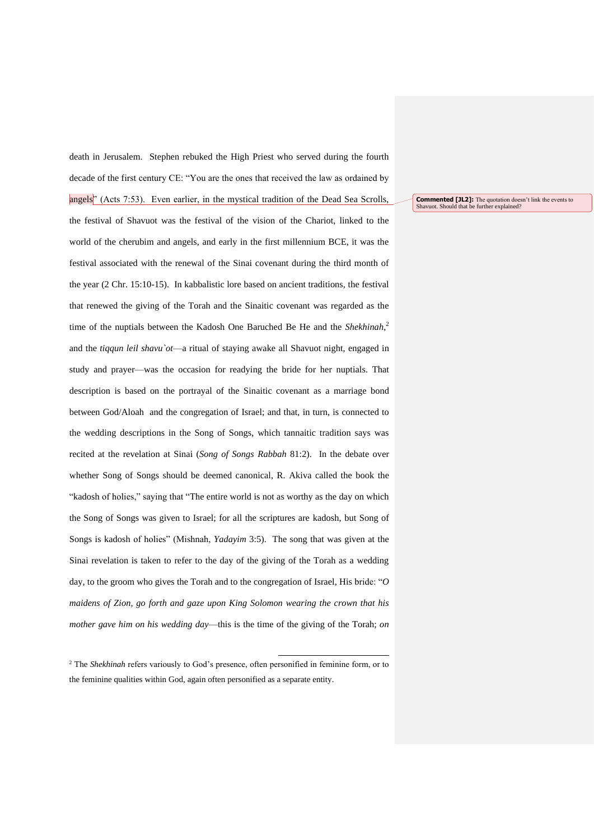death in Jerusalem. Stephen rebuked the High Priest who served during the fourth decade of the first century CE: "You are the ones that received the law as ordained by angels" (Acts 7:53). Even earlier, in the mystical tradition of the Dead Sea Scrolls, the festival of Shavuot was the festival of the vision of the Chariot, linked to the world of the cherubim and angels, and early in the first millennium BCE, it was the festival associated with the renewal of the Sinai covenant during the third month of the year (2 Chr. 15:10-15). In kabbalistic lore based on ancient traditions, the festival that renewed the giving of the Torah and the Sinaitic covenant was regarded as the time of the nuptials between the Kadosh One Baruched Be He and the *Shekhinah*,<sup>2</sup> and the *tiqqun leil shavu`ot*—a ritual of staying awake all Shavuot night, engaged in study and prayer—was the occasion for readying the bride for her nuptials. That description is based on the portrayal of the Sinaitic covenant as a marriage bond between God/Aloah and the congregation of Israel; and that, in turn, is connected to the wedding descriptions in the Song of Songs, which tannaitic tradition says was recited at the revelation at Sinai (*Song of Songs Rabbah* 81:2). In the debate over whether Song of Songs should be deemed canonical, R. Akiva called the book the "kadosh of holies," saying that "The entire world is not as worthy as the day on which the Song of Songs was given to Israel; for all the scriptures are kadosh, but Song of Songs is kadosh of holies" (Mishnah, *Yadayim* 3:5). The song that was given at the Sinai revelation is taken to refer to the day of the giving of the Torah as a wedding day, to the groom who gives the Torah and to the congregation of Israel, His bride: "*O maidens of Zion, go forth and gaze upon King Solomon wearing the crown that his mother gave him on his wedding day*—this is the time of the giving of the Torah; *on* 

**Commented [JL2]:** The quotation doesn't link the events to Shavuot. Should that be further explained?

<sup>&</sup>lt;sup>2</sup> The *Shekhinah* refers variously to God's presence, often personified in feminine form, or to the feminine qualities within God, again often personified as a separate entity.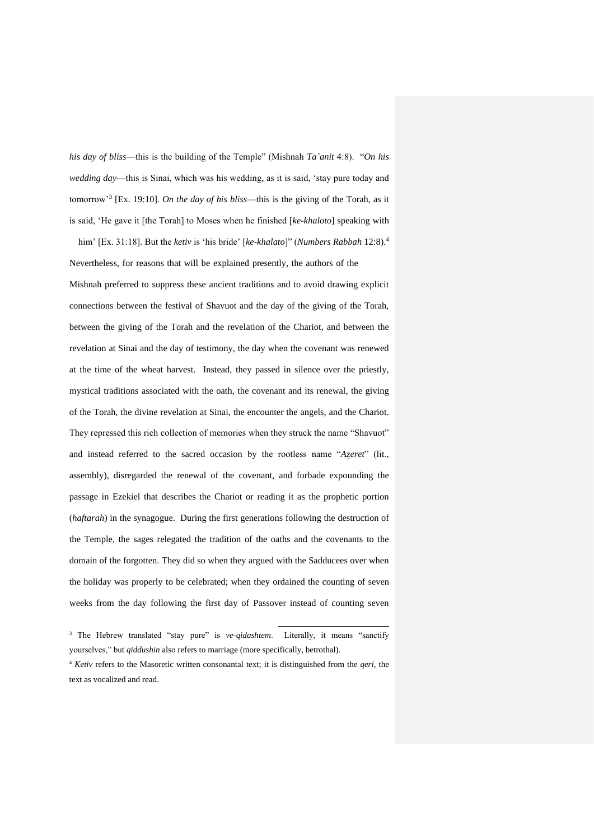*his day of bliss*—this is the building of the Temple" (Mishnah *Ta`anit* 4:8). "*On his wedding day*—this is Sinai, which was his wedding, as it is said, 'stay pure today and tomorrow<sup>3</sup> [Ex. 19:10]. *On the day of his bliss*—this is the giving of the Torah, as it is said, 'He gave it [the Torah] to Moses when he finished [*ke-khaloto*] speaking with

4 him' [Ex. 31:18]. But the *ketiv* is 'his bride' [*ke-khalato*]" (*Numbers Rabbah* 12:8).

Nevertheless, for reasons that will be explained presently, the authors of the Mishnah preferred to suppress these ancient traditions and to avoid drawing explicit connections between the festival of Shavuot and the day of the giving of the Torah, between the giving of the Torah and the revelation of the Chariot, and between the revelation at Sinai and the day of testimony, the day when the covenant was renewed at the time of the wheat harvest. Instead, they passed in silence over the priestly, mystical traditions associated with the oath, the covenant and its renewal, the giving of the Torah, the divine revelation at Sinai, the encounter the angels, and the Chariot. They repressed this rich collection of memories when they struck the name "Shavuot" and instead referred to the sacred occasion by the rootless name "*Azeret*" (lit., assembly), disregarded the renewal of the covenant, and forbade expounding the passage in Ezekiel that describes the Chariot or reading it as the prophetic portion (*haftarah*) in the synagogue. During the first generations following the destruction of the Temple, the sages relegated the tradition of the oaths and the covenants to the domain of the forgotten. They did so when they argued with the Sadducees over when the holiday was properly to be celebrated; when they ordained the counting of seven weeks from the day following the first day of Passover instead of counting seven

<sup>&</sup>lt;sup>3</sup> The Hebrew translated "stay pure" is *ve-qidashtem*. Literally, it means "sanctify yourselves," but *qiddushin* also refers to marriage (more specifically, betrothal).

<sup>4</sup> *Ketiv* refers to the Masoretic written consonantal text; it is distinguished from the *qeri*, the text as vocalized and read.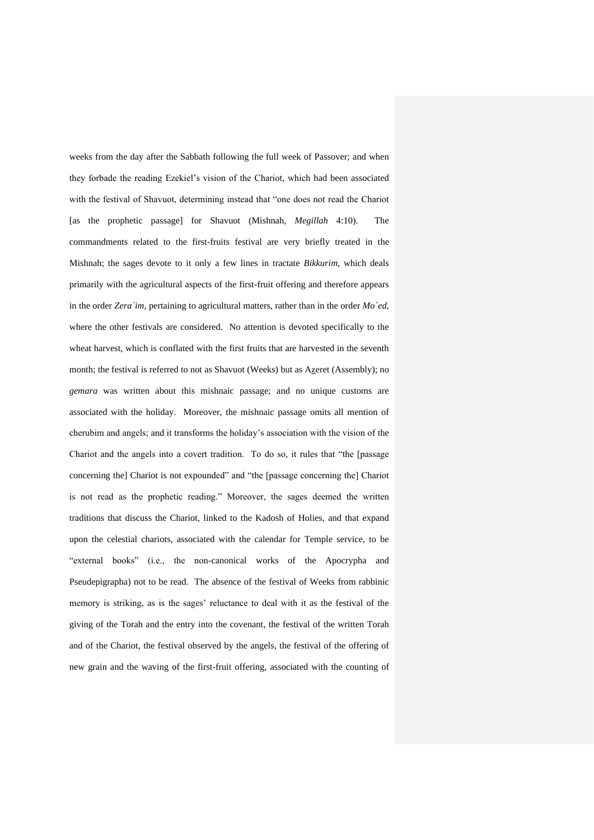weeks from the day after the Sabbath following the full week of Passover; and when they forbade the reading Ezekiel's vision of the Chariot, which had been associated with the festival of Shavuot, determining instead that "one does not read the Chariot [as the prophetic passage] for Shavuot (Mishnah, *Megillah* 4:10). The commandments related to the first-fruits festival are very briefly treated in the Mishnah; the sages devote to it only a few lines in tractate *Bikkurim*, which deals primarily with the agricultural aspects of the first-fruit offering and therefore appears in the order *Zera`im*, pertaining to agricultural matters, rather than in the order *Mo`ed*, where the other festivals are considered. No attention is devoted specifically to the wheat harvest, which is conflated with the first fruits that are harvested in the seventh month; the festival is referred to not as Shavuot (Weeks) but as Azeret (Assembly); no *gemara* was written about this mishnaic passage; and no unique customs are associated with the holiday. Moreover, the mishnaic passage omits all mention of cherubim and angels; and it transforms the holiday's association with the vision of the Chariot and the angels into a covert tradition. To do so, it rules that "the [passage concerning the] Chariot is not expounded" and "the [passage concerning the] Chariot is not read as the prophetic reading." Moreover, the sages deemed the written traditions that discuss the Chariot, linked to the Kadosh of Holies, and that expand upon the celestial chariots, associated with the calendar for Temple service, to be "external books" (i.e., the non-canonical works of the Apocrypha and Pseudepigrapha) not to be read. The absence of the festival of Weeks from rabbinic memory is striking, as is the sages' reluctance to deal with it as the festival of the giving of the Torah and the entry into the covenant, the festival of the written Torah and of the Chariot, the festival observed by the angels, the festival of the offering of new grain and the waving of the first-fruit offering, associated with the counting of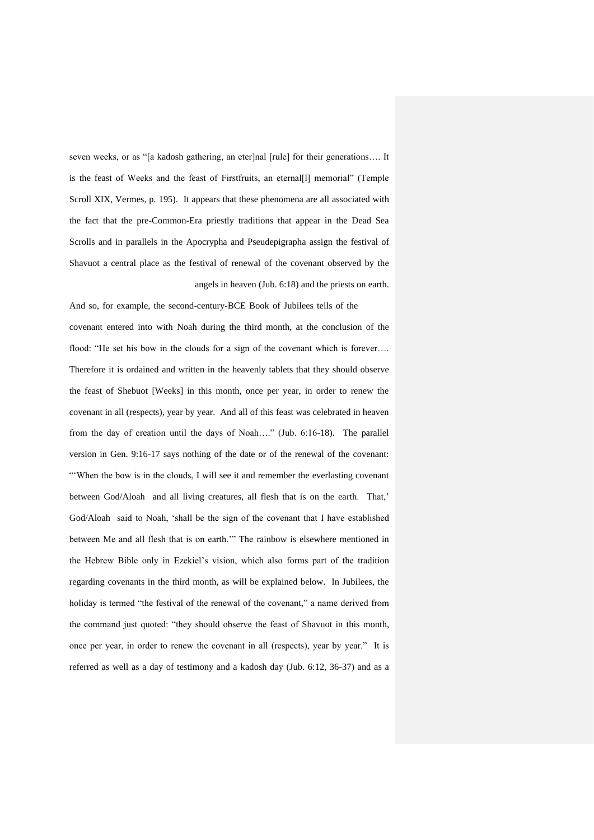seven weeks, or as "[a kadosh gathering, an eter]nal [rule] for their generations…. It is the feast of Weeks and the feast of Firstfruits, an eternal[l] memorial" (Temple Scroll XIX, Vermes, p. 195). It appears that these phenomena are all associated with the fact that the pre-Common-Era priestly traditions that appear in the Dead Sea Scrolls and in parallels in the Apocrypha and Pseudepigrapha assign the festival of Shavuot a central place as the festival of renewal of the covenant observed by the angels in heaven (Jub. 6:18) and the priests on earth.

And so, for example, the second-century-BCE Book of Jubilees tells of the covenant entered into with Noah during the third month, at the conclusion of the flood: "He set his bow in the clouds for a sign of the covenant which is forever…. Therefore it is ordained and written in the heavenly tablets that they should observe the feast of Shebuot [Weeks] in this month, once per year, in order to renew the covenant in all (respects), year by year. And all of this feast was celebrated in heaven from the day of creation until the days of Noah…." (Jub. 6:16-18). The parallel version in Gen. 9:16-17 says nothing of the date or of the renewal of the covenant: "'When the bow is in the clouds, I will see it and remember the everlasting covenant between God/Aloah and all living creatures, all flesh that is on the earth. That,' God/Aloah said to Noah, 'shall be the sign of the covenant that I have established between Me and all flesh that is on earth.'" The rainbow is elsewhere mentioned in the Hebrew Bible only in Ezekiel's vision, which also forms part of the tradition regarding covenants in the third month, as will be explained below. In Jubilees, the holiday is termed "the festival of the renewal of the covenant," a name derived from the command just quoted: "they should observe the feast of Shavuot in this month, once per year, in order to renew the covenant in all (respects), year by year." It is referred as well as a day of testimony and a kadosh day (Jub. 6:12, 36-37) and as a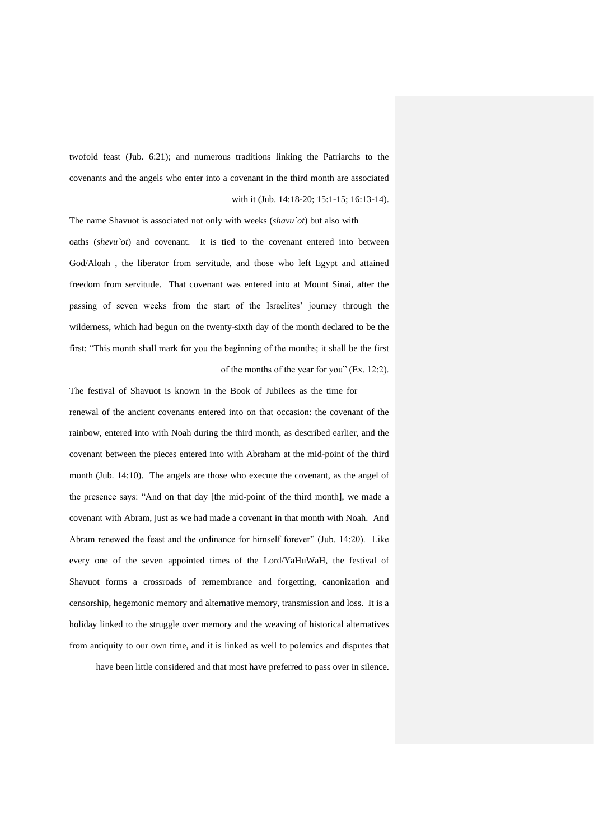twofold feast (Jub. 6:21); and numerous traditions linking the Patriarchs to the covenants and the angels who enter into a covenant in the third month are associated with it (Jub. 14:18-20; 15:1-15; 16:13-14).

The name Shavuot is associated not only with weeks (*shavu`ot*) but also with oaths (*shevu`ot*) and covenant. It is tied to the covenant entered into between God/Aloah , the liberator from servitude, and those who left Egypt and attained freedom from servitude. That covenant was entered into at Mount Sinai, after the passing of seven weeks from the start of the Israelites' journey through the wilderness, which had begun on the twenty-sixth day of the month declared to be the first: "This month shall mark for you the beginning of the months; it shall be the first of the months of the year for you" (Ex. 12:2).

The festival of Shavuot is known in the Book of Jubilees as the time for renewal of the ancient covenants entered into on that occasion: the covenant of the rainbow, entered into with Noah during the third month, as described earlier, and the covenant between the pieces entered into with Abraham at the mid-point of the third month (Jub. 14:10). The angels are those who execute the covenant, as the angel of the presence says: "And on that day [the mid-point of the third month], we made a covenant with Abram, just as we had made a covenant in that month with Noah. And Abram renewed the feast and the ordinance for himself forever" (Jub. 14:20). Like every one of the seven appointed times of the Lord/YaHuWaH, the festival of Shavuot forms a crossroads of remembrance and forgetting, canonization and censorship, hegemonic memory and alternative memory, transmission and loss. It is a holiday linked to the struggle over memory and the weaving of historical alternatives from antiquity to our own time, and it is linked as well to polemics and disputes that

have been little considered and that most have preferred to pass over in silence.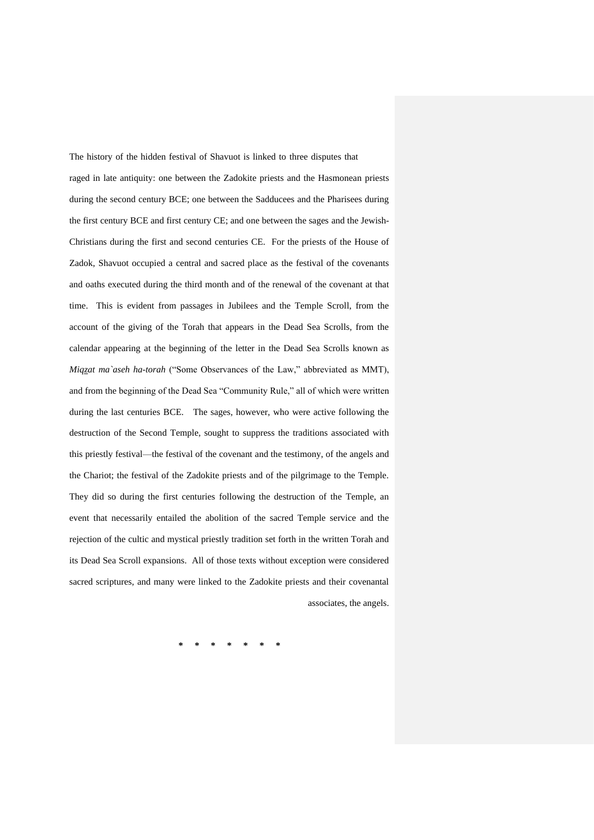The history of the hidden festival of Shavuot is linked to three disputes that raged in late antiquity: one between the Zadokite priests and the Hasmonean priests during the second century BCE; one between the Sadducees and the Pharisees during the first century BCE and first century CE; and one between the sages and the Jewish-Christians during the first and second centuries CE. For the priests of the House of Zadok, Shavuot occupied a central and sacred place as the festival of the covenants and oaths executed during the third month and of the renewal of the covenant at that time. This is evident from passages in Jubilees and the Temple Scroll, from the account of the giving of the Torah that appears in the Dead Sea Scrolls, from the calendar appearing at the beginning of the letter in the Dead Sea Scrolls known as *Miqzat ma`aseh ha-torah* ("Some Observances of the Law," abbreviated as MMT), and from the beginning of the Dead Sea "Community Rule," all of which were written during the last centuries BCE. The sages, however, who were active following the destruction of the Second Temple, sought to suppress the traditions associated with this priestly festival—the festival of the covenant and the testimony, of the angels and the Chariot; the festival of the Zadokite priests and of the pilgrimage to the Temple. They did so during the first centuries following the destruction of the Temple, an event that necessarily entailed the abolition of the sacred Temple service and the rejection of the cultic and mystical priestly tradition set forth in the written Torah and its Dead Sea Scroll expansions. All of those texts without exception were considered sacred scriptures, and many were linked to the Zadokite priests and their covenantal associates, the angels.

**\* \* \* \* \* \* \***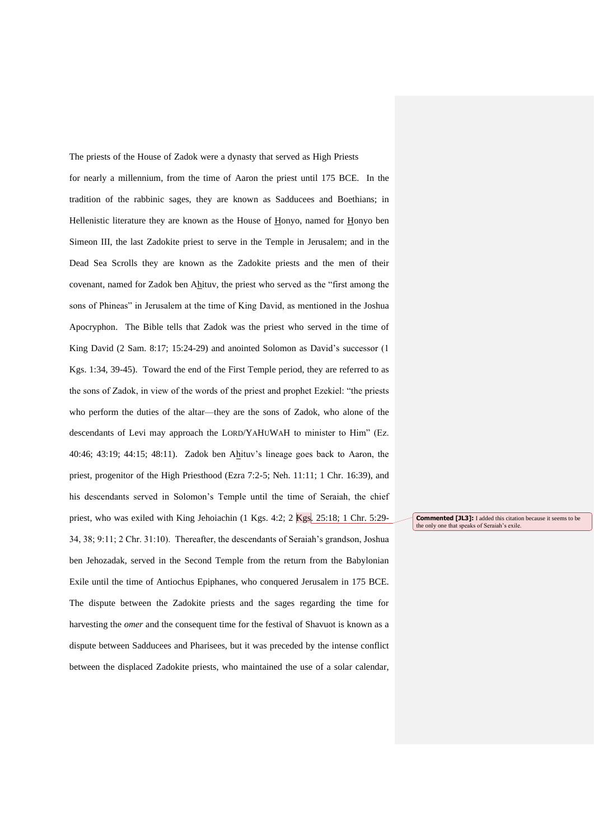The priests of the House of Zadok were a dynasty that served as High Priests for nearly a millennium, from the time of Aaron the priest until 175 BCE. In the tradition of the rabbinic sages, they are known as Sadducees and Boethians; in Hellenistic literature they are known as the House of Honyo, named for Honyo ben Simeon III, the last Zadokite priest to serve in the Temple in Jerusalem; and in the Dead Sea Scrolls they are known as the Zadokite priests and the men of their covenant, named for Zadok ben Ahituv, the priest who served as the "first among the sons of Phineas" in Jerusalem at the time of King David, as mentioned in the Joshua Apocryphon. The Bible tells that Zadok was the priest who served in the time of King David (2 Sam. 8:17; 15:24-29) and anointed Solomon as David's successor (1 Kgs. 1:34, 39-45). Toward the end of the First Temple period, they are referred to as the sons of Zadok, in view of the words of the priest and prophet Ezekiel: "the priests who perform the duties of the altar—they are the sons of Zadok, who alone of the descendants of Levi may approach the LORD/YAHUWAH to minister to Him" (Ez. 40:46; 43:19; 44:15; 48:11). Zadok ben Ahituv's lineage goes back to Aaron, the priest, progenitor of the High Priesthood (Ezra 7:2-5; Neh. 11:11; 1 Chr. 16:39), and his descendants served in Solomon's Temple until the time of Seraiah, the chief priest, who was exiled with King Jehoiachin (1 Kgs. 4:2; 2 Kgs. 25:18; 1 Chr. 5:29-34, 38; 9:11; 2 Chr. 31:10). Thereafter, the descendants of Seraiah's grandson, Joshua ben Jehozadak, served in the Second Temple from the return from the Babylonian Exile until the time of Antiochus Epiphanes, who conquered Jerusalem in 175 BCE. The dispute between the Zadokite priests and the sages regarding the time for harvesting the *omer* and the consequent time for the festival of Shavuot is known as a dispute between Sadducees and Pharisees, but it was preceded by the intense conflict between the displaced Zadokite priests, who maintained the use of a solar calendar,

**Commented [JL3]:** I added this citation because it seems to be the only one that speaks of Seraiah's exile.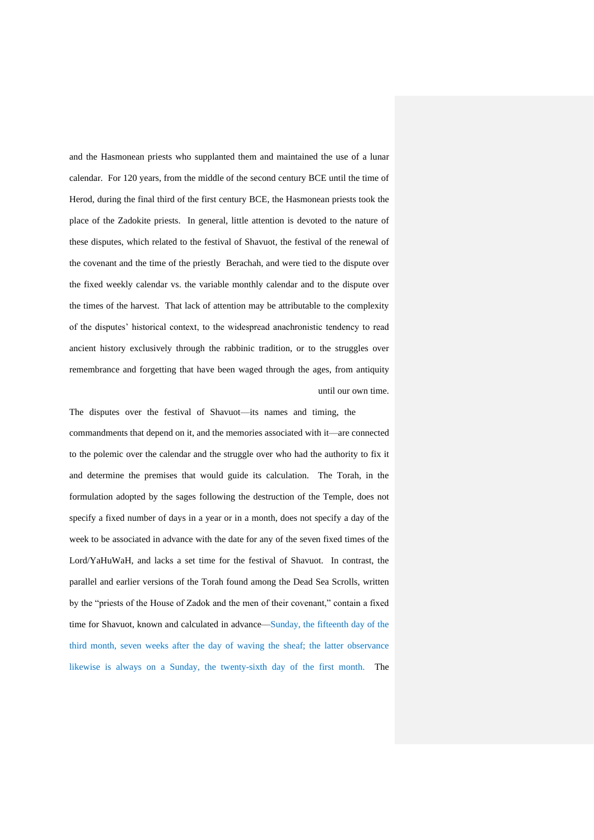and the Hasmonean priests who supplanted them and maintained the use of a lunar calendar. For 120 years, from the middle of the second century BCE until the time of Herod, during the final third of the first century BCE, the Hasmonean priests took the place of the Zadokite priests. In general, little attention is devoted to the nature of these disputes, which related to the festival of Shavuot, the festival of the renewal of the covenant and the time of the priestly Berachah, and were tied to the dispute over the fixed weekly calendar vs. the variable monthly calendar and to the dispute over the times of the harvest. That lack of attention may be attributable to the complexity of the disputes' historical context, to the widespread anachronistic tendency to read ancient history exclusively through the rabbinic tradition, or to the struggles over remembrance and forgetting that have been waged through the ages, from antiquity until our own time.

The disputes over the festival of Shavuot—its names and timing, the commandments that depend on it, and the memories associated with it—are connected to the polemic over the calendar and the struggle over who had the authority to fix it and determine the premises that would guide its calculation. The Torah, in the formulation adopted by the sages following the destruction of the Temple, does not specify a fixed number of days in a year or in a month, does not specify a day of the week to be associated in advance with the date for any of the seven fixed times of the Lord/YaHuWaH, and lacks a set time for the festival of Shavuot. In contrast, the parallel and earlier versions of the Torah found among the Dead Sea Scrolls, written by the "priests of the House of Zadok and the men of their covenant," contain a fixed time for Shavuot, known and calculated in advance—Sunday, the fifteenth day of the third month, seven weeks after the day of waving the sheaf; the latter observance likewise is always on a Sunday, the twenty-sixth day of the first month. The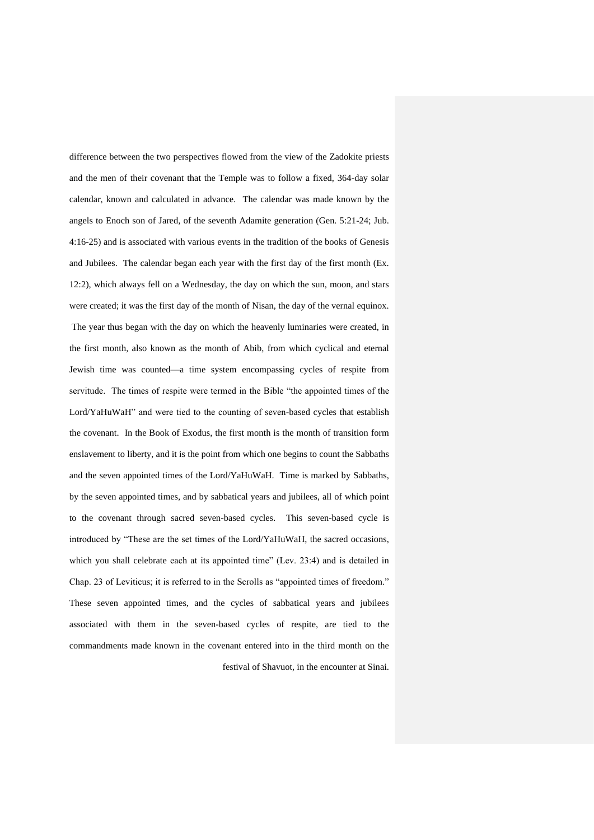difference between the two perspectives flowed from the view of the Zadokite priests and the men of their covenant that the Temple was to follow a fixed, 364-day solar calendar, known and calculated in advance. The calendar was made known by the angels to Enoch son of Jared, of the seventh Adamite generation (Gen. 5:21-24; Jub. 4:16-25) and is associated with various events in the tradition of the books of Genesis and Jubilees. The calendar began each year with the first day of the first month (Ex. 12:2), which always fell on a Wednesday, the day on which the sun, moon, and stars were created; it was the first day of the month of Nisan, the day of the vernal equinox. The year thus began with the day on which the heavenly luminaries were created, in the first month, also known as the month of Abib, from which cyclical and eternal Jewish time was counted—a time system encompassing cycles of respite from servitude. The times of respite were termed in the Bible "the appointed times of the Lord/YaHuWaH" and were tied to the counting of seven-based cycles that establish the covenant. In the Book of Exodus, the first month is the month of transition form enslavement to liberty, and it is the point from which one begins to count the Sabbaths and the seven appointed times of the Lord/YaHuWaH. Time is marked by Sabbaths, by the seven appointed times, and by sabbatical years and jubilees, all of which point to the covenant through sacred seven-based cycles. This seven-based cycle is introduced by "These are the set times of the Lord/YaHuWaH, the sacred occasions, which you shall celebrate each at its appointed time" (Lev. 23:4) and is detailed in Chap. 23 of Leviticus; it is referred to in the Scrolls as "appointed times of freedom." These seven appointed times, and the cycles of sabbatical years and jubilees associated with them in the seven-based cycles of respite, are tied to the commandments made known in the covenant entered into in the third month on the festival of Shavuot, in the encounter at Sinai.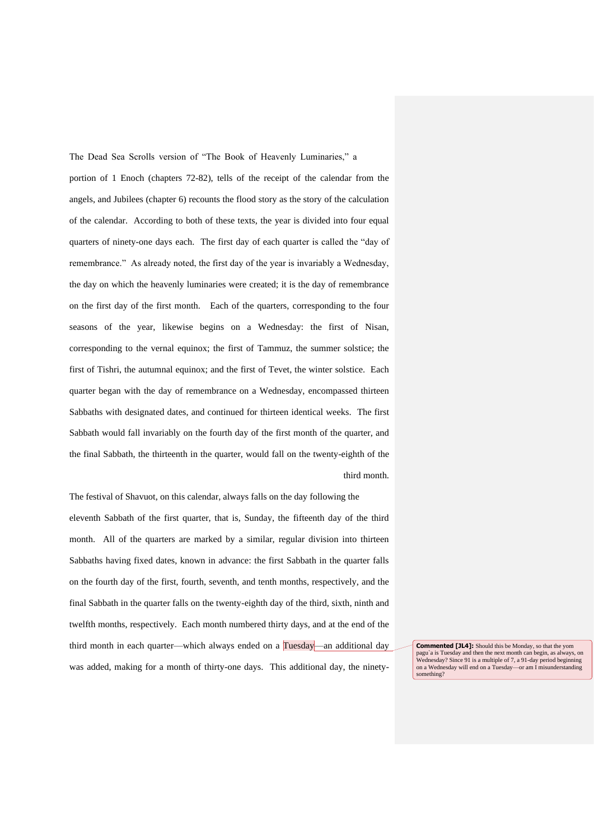The Dead Sea Scrolls version of "The Book of Heavenly Luminaries," a portion of 1 Enoch (chapters 72-82), tells of the receipt of the calendar from the angels, and Jubilees (chapter 6) recounts the flood story as the story of the calculation of the calendar. According to both of these texts, the year is divided into four equal quarters of ninety-one days each. The first day of each quarter is called the "day of remembrance." As already noted, the first day of the year is invariably a Wednesday, the day on which the heavenly luminaries were created; it is the day of remembrance on the first day of the first month. Each of the quarters, corresponding to the four seasons of the year, likewise begins on a Wednesday: the first of Nisan, corresponding to the vernal equinox; the first of Tammuz, the summer solstice; the first of Tishri, the autumnal equinox; and the first of Tevet, the winter solstice. Each quarter began with the day of remembrance on a Wednesday, encompassed thirteen Sabbaths with designated dates, and continued for thirteen identical weeks. The first Sabbath would fall invariably on the fourth day of the first month of the quarter, and the final Sabbath, the thirteenth in the quarter, would fall on the twenty-eighth of the third month.

The festival of Shavuot, on this calendar, always falls on the day following the eleventh Sabbath of the first quarter, that is, Sunday, the fifteenth day of the third month. All of the quarters are marked by a similar, regular division into thirteen Sabbaths having fixed dates, known in advance: the first Sabbath in the quarter falls on the fourth day of the first, fourth, seventh, and tenth months, respectively, and the final Sabbath in the quarter falls on the twenty-eighth day of the third, sixth, ninth and twelfth months, respectively. Each month numbered thirty days, and at the end of the third month in each quarter—which always ended on a Tuesday—an additional day was added, making for a month of thirty-one days. This additional day, the ninety-

**Commented [JL4]:** Should this be Monday, so that the yom pagu`a is Tuesday and then the next month can begin, as always, on Wednesday? Since 91 is a multiple of 7, a 91-day period beginning on a Wednesday will end on a Tuesday—or am I misunderstanding something?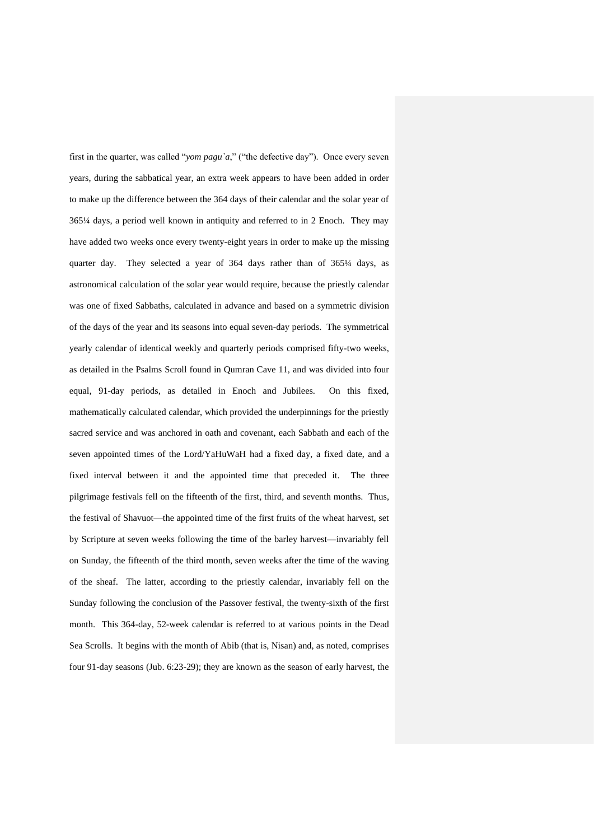first in the quarter, was called "*yom pagu`a*," ("the defective day"). Once every seven years, during the sabbatical year, an extra week appears to have been added in order to make up the difference between the 364 days of their calendar and the solar year of 365¼ days, a period well known in antiquity and referred to in 2 Enoch. They may have added two weeks once every twenty-eight years in order to make up the missing quarter day. They selected a year of 364 days rather than of 365¼ days, as astronomical calculation of the solar year would require, because the priestly calendar was one of fixed Sabbaths, calculated in advance and based on a symmetric division of the days of the year and its seasons into equal seven-day periods. The symmetrical yearly calendar of identical weekly and quarterly periods comprised fifty-two weeks, as detailed in the Psalms Scroll found in Qumran Cave 11, and was divided into four equal, 91-day periods, as detailed in Enoch and Jubilees. On this fixed, mathematically calculated calendar, which provided the underpinnings for the priestly sacred service and was anchored in oath and covenant, each Sabbath and each of the seven appointed times of the Lord/YaHuWaH had a fixed day, a fixed date, and a fixed interval between it and the appointed time that preceded it. The three pilgrimage festivals fell on the fifteenth of the first, third, and seventh months. Thus, the festival of Shavuot—the appointed time of the first fruits of the wheat harvest, set by Scripture at seven weeks following the time of the barley harvest—invariably fell on Sunday, the fifteenth of the third month, seven weeks after the time of the waving of the sheaf. The latter, according to the priestly calendar, invariably fell on the Sunday following the conclusion of the Passover festival, the twenty-sixth of the first month. This 364-day, 52-week calendar is referred to at various points in the Dead Sea Scrolls. It begins with the month of Abib (that is, Nisan) and, as noted, comprises four 91-day seasons (Jub. 6:23-29); they are known as the season of early harvest, the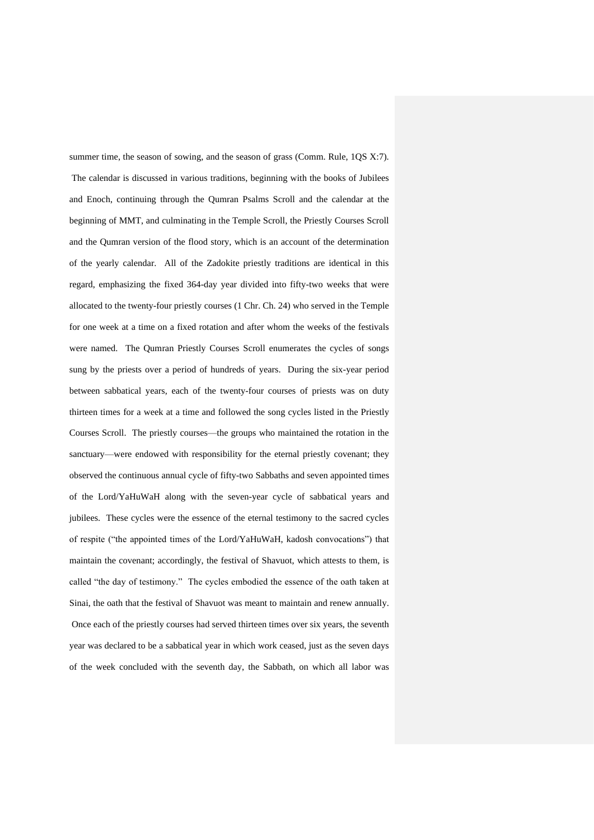summer time, the season of sowing, and the season of grass (Comm. Rule, 1QS X:7). The calendar is discussed in various traditions, beginning with the books of Jubilees and Enoch, continuing through the Qumran Psalms Scroll and the calendar at the beginning of MMT, and culminating in the Temple Scroll, the Priestly Courses Scroll and the Qumran version of the flood story, which is an account of the determination of the yearly calendar. All of the Zadokite priestly traditions are identical in this regard, emphasizing the fixed 364-day year divided into fifty-two weeks that were allocated to the twenty-four priestly courses (1 Chr. Ch. 24) who served in the Temple for one week at a time on a fixed rotation and after whom the weeks of the festivals were named. The Qumran Priestly Courses Scroll enumerates the cycles of songs sung by the priests over a period of hundreds of years. During the six-year period between sabbatical years, each of the twenty-four courses of priests was on duty thirteen times for a week at a time and followed the song cycles listed in the Priestly Courses Scroll. The priestly courses—the groups who maintained the rotation in the sanctuary—were endowed with responsibility for the eternal priestly covenant; they observed the continuous annual cycle of fifty-two Sabbaths and seven appointed times of the Lord/YaHuWaH along with the seven-year cycle of sabbatical years and jubilees. These cycles were the essence of the eternal testimony to the sacred cycles of respite ("the appointed times of the Lord/YaHuWaH, kadosh convocations") that maintain the covenant; accordingly, the festival of Shavuot, which attests to them, is called "the day of testimony." The cycles embodied the essence of the oath taken at Sinai, the oath that the festival of Shavuot was meant to maintain and renew annually. Once each of the priestly courses had served thirteen times over six years, the seventh year was declared to be a sabbatical year in which work ceased, just as the seven days of the week concluded with the seventh day, the Sabbath, on which all labor was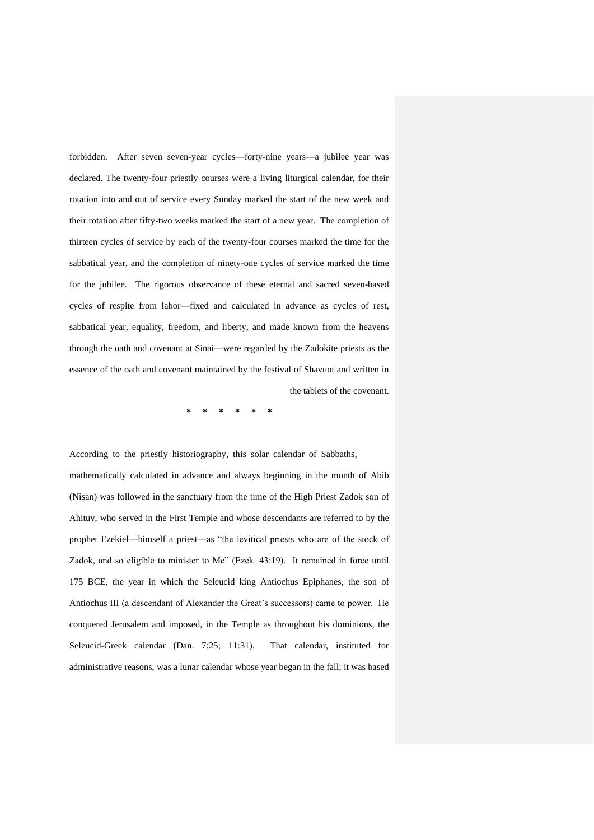forbidden. After seven seven-year cycles—forty-nine years—a jubilee year was declared. The twenty-four priestly courses were a living liturgical calendar, for their rotation into and out of service every Sunday marked the start of the new week and their rotation after fifty-two weeks marked the start of a new year. The completion of thirteen cycles of service by each of the twenty-four courses marked the time for the sabbatical year, and the completion of ninety-one cycles of service marked the time for the jubilee. The rigorous observance of these eternal and sacred seven-based cycles of respite from labor—fixed and calculated in advance as cycles of rest, sabbatical year, equality, freedom, and liberty, and made known from the heavens through the oath and covenant at Sinai—were regarded by the Zadokite priests as the essence of the oath and covenant maintained by the festival of Shavuot and written in the tablets of the covenant.

**\* \* \* \* \* \***

According to the priestly historiography, this solar calendar of Sabbaths, mathematically calculated in advance and always beginning in the month of Abib (Nisan) was followed in the sanctuary from the time of the High Priest Zadok son of Ahituv, who served in the First Temple and whose descendants are referred to by the prophet Ezekiel—himself a priest—as "the levitical priests who are of the stock of Zadok, and so eligible to minister to Me" (Ezek. 43:19). It remained in force until 175 BCE, the year in which the Seleucid king Antiochus Epiphanes, the son of Antiochus III (a descendant of Alexander the Great's successors) came to power. He conquered Jerusalem and imposed, in the Temple as throughout his dominions, the Seleucid-Greek calendar (Dan. 7:25; 11:31). That calendar, instituted for administrative reasons, was a lunar calendar whose year began in the fall; it was based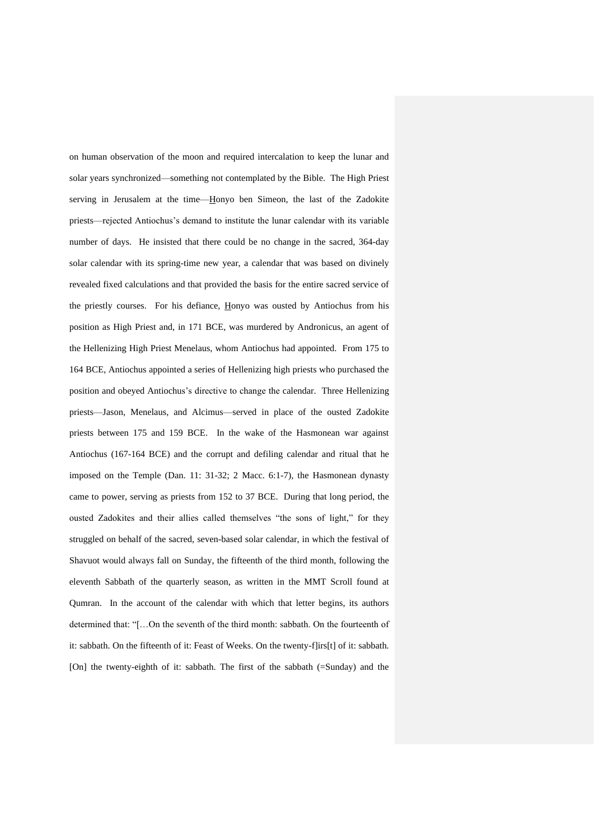on human observation of the moon and required intercalation to keep the lunar and solar years synchronized—something not contemplated by the Bible. The High Priest serving in Jerusalem at the time—Honyo ben Simeon, the last of the Zadokite priests—rejected Antiochus's demand to institute the lunar calendar with its variable number of days. He insisted that there could be no change in the sacred, 364-day solar calendar with its spring-time new year, a calendar that was based on divinely revealed fixed calculations and that provided the basis for the entire sacred service of the priestly courses. For his defiance, Honyo was ousted by Antiochus from his position as High Priest and, in 171 BCE, was murdered by Andronicus, an agent of the Hellenizing High Priest Menelaus, whom Antiochus had appointed. From 175 to 164 BCE, Antiochus appointed a series of Hellenizing high priests who purchased the position and obeyed Antiochus's directive to change the calendar. Three Hellenizing priests—Jason, Menelaus, and Alcimus—served in place of the ousted Zadokite priests between 175 and 159 BCE. In the wake of the Hasmonean war against Antiochus (167-164 BCE) and the corrupt and defiling calendar and ritual that he imposed on the Temple (Dan. 11: 31-32; 2 Macc. 6:1-7), the Hasmonean dynasty came to power, serving as priests from 152 to 37 BCE. During that long period, the ousted Zadokites and their allies called themselves "the sons of light," for they struggled on behalf of the sacred, seven-based solar calendar, in which the festival of Shavuot would always fall on Sunday, the fifteenth of the third month, following the eleventh Sabbath of the quarterly season, as written in the MMT Scroll found at Qumran. In the account of the calendar with which that letter begins, its authors determined that: "[…On the seventh of the third month: sabbath. On the fourteenth of it: sabbath. On the fifteenth of it: Feast of Weeks. On the twenty-f]irs[t] of it: sabbath. [On] the twenty-eighth of it: sabbath. The first of the sabbath (=Sunday) and the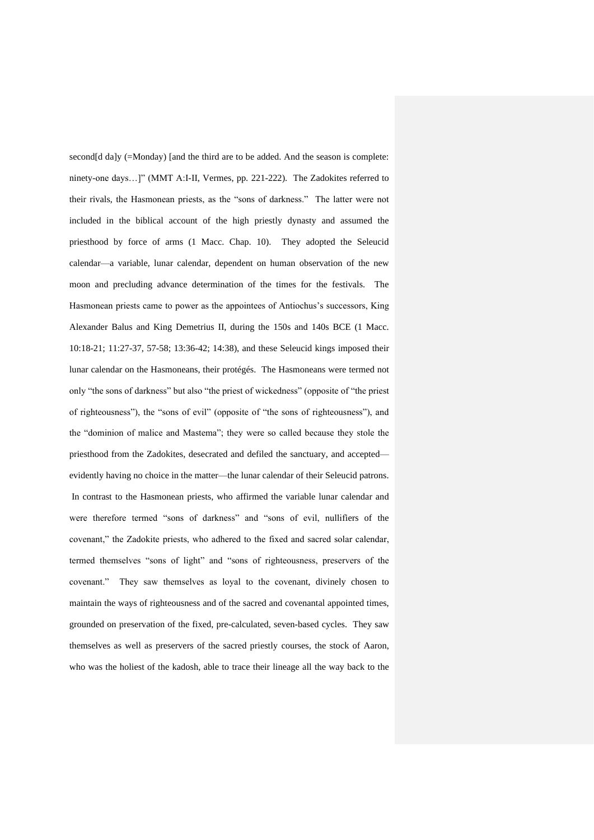second[d da]y (=Monday) [and the third are to be added. And the season is complete: ninety-one days…]" (MMT A:I-II, Vermes, pp. 221-222). The Zadokites referred to their rivals, the Hasmonean priests, as the "sons of darkness." The latter were not included in the biblical account of the high priestly dynasty and assumed the priesthood by force of arms (1 Macc. Chap. 10). They adopted the Seleucid calendar—a variable, lunar calendar, dependent on human observation of the new moon and precluding advance determination of the times for the festivals. The Hasmonean priests came to power as the appointees of Antiochus's successors, King Alexander Balus and King Demetrius II, during the 150s and 140s BCE (1 Macc. 10:18-21; 11:27-37, 57-58; 13:36-42; 14:38), and these Seleucid kings imposed their lunar calendar on the Hasmoneans, their protégés. The Hasmoneans were termed not only "the sons of darkness" but also "the priest of wickedness" (opposite of "the priest of righteousness"), the "sons of evil" (opposite of "the sons of righteousness"), and the "dominion of malice and Mastema"; they were so called because they stole the priesthood from the Zadokites, desecrated and defiled the sanctuary, and accepted evidently having no choice in the matter—the lunar calendar of their Seleucid patrons. In contrast to the Hasmonean priests, who affirmed the variable lunar calendar and were therefore termed "sons of darkness" and "sons of evil, nullifiers of the covenant," the Zadokite priests, who adhered to the fixed and sacred solar calendar, termed themselves "sons of light" and "sons of righteousness, preservers of the covenant." They saw themselves as loyal to the covenant, divinely chosen to maintain the ways of righteousness and of the sacred and covenantal appointed times, grounded on preservation of the fixed, pre-calculated, seven-based cycles. They saw themselves as well as preservers of the sacred priestly courses, the stock of Aaron, who was the holiest of the kadosh, able to trace their lineage all the way back to the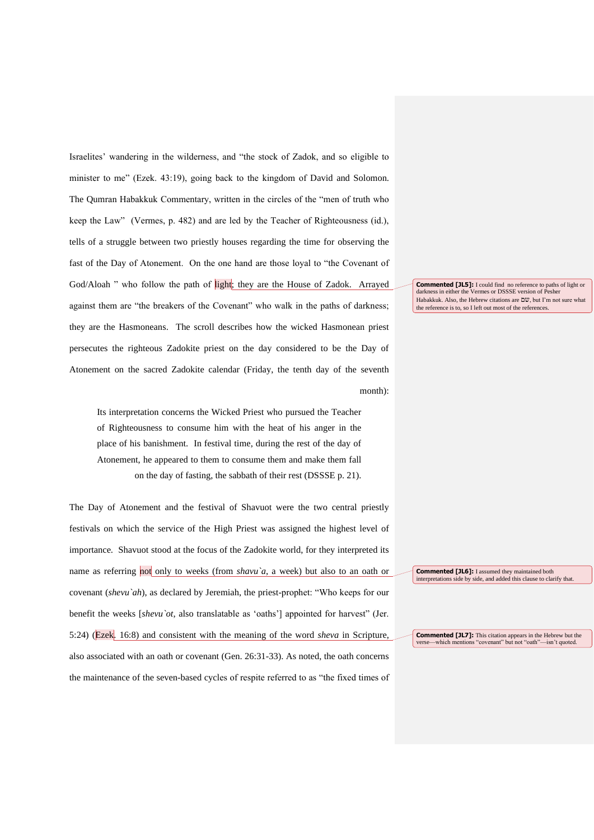Israelites' wandering in the wilderness, and "the stock of Zadok, and so eligible to minister to me" (Ezek. 43:19), going back to the kingdom of David and Solomon. The Qumran Habakkuk Commentary, written in the circles of the "men of truth who keep the Law" (Vermes, p. 482) and are led by the Teacher of Righteousness (id.), tells of a struggle between two priestly houses regarding the time for observing the fast of the Day of Atonement. On the one hand are those loyal to "the Covenant of God/Aloah " who follow the path of light; they are the House of Zadok. Arrayed against them are "the breakers of the Covenant" who walk in the paths of darkness; they are the Hasmoneans. The scroll describes how the wicked Hasmonean priest persecutes the righteous Zadokite priest on the day considered to be the Day of Atonement on the sacred Zadokite calendar (Friday, the tenth day of the seventh month):

Its interpretation concerns the Wicked Priest who pursued the Teacher of Righteousness to consume him with the heat of his anger in the place of his banishment. In festival time, during the rest of the day of Atonement, he appeared to them to consume them and make them fall on the day of fasting, the sabbath of their rest (DSSSE p. 21).

The Day of Atonement and the festival of Shavuot were the two central priestly festivals on which the service of the High Priest was assigned the highest level of importance. Shavuot stood at the focus of the Zadokite world, for they interpreted its name as referring not only to weeks (from *shavu*'a, a week) but also to an oath or covenant (*shevu`ah*), as declared by Jeremiah, the priest-prophet: "Who keeps for our benefit the weeks [*shevu`ot*, also translatable as 'oaths'] appointed for harvest" (Jer. 5:24) (Ezek. 16:8) and consistent with the meaning of the word *sheva* in Scripture, also associated with an oath or covenant (Gen. 26:31-33). As noted, the oath concerns the maintenance of the seven-based cycles of respite referred to as "the fixed times of

**Commented [JL5]:** I could find no reference to paths of light or darkness in either the Vermes or DSSSE version of Pesher Habakkuk. Also, the Hebrew citations are שם, but I'm not sure what the reference is to, so I left out most of the references.

**Commented [JL6]:** I assumed they maintained both interpretations side by side, and added this clause to clarify that.

**Commented [JL7]:** This citation appears in the Hebrew but the verse—which mentions "covenant" but not "oath"—isn't quoted.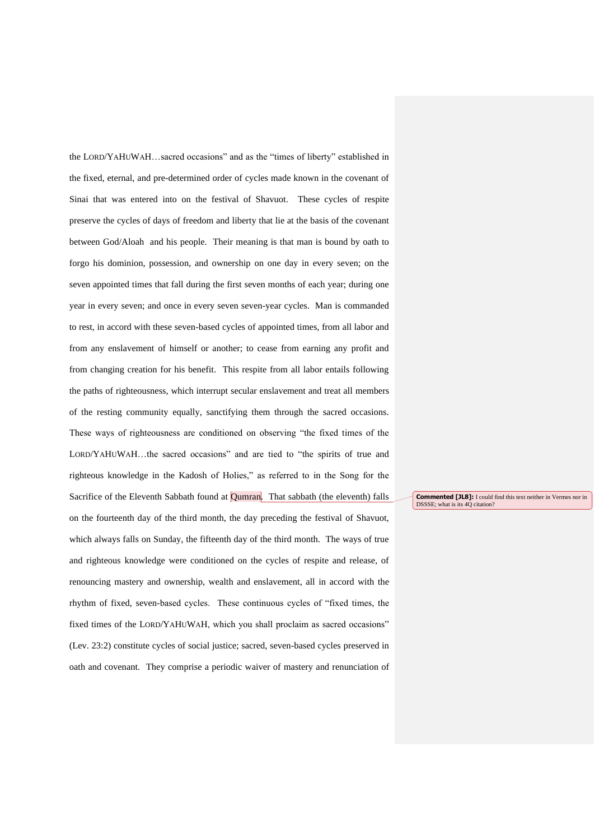the LORD/YAHUWAH…sacred occasions" and as the "times of liberty" established in the fixed, eternal, and pre-determined order of cycles made known in the covenant of Sinai that was entered into on the festival of Shavuot. These cycles of respite preserve the cycles of days of freedom and liberty that lie at the basis of the covenant between God/Aloah and his people. Their meaning is that man is bound by oath to forgo his dominion, possession, and ownership on one day in every seven; on the seven appointed times that fall during the first seven months of each year; during one year in every seven; and once in every seven seven-year cycles. Man is commanded to rest, in accord with these seven-based cycles of appointed times, from all labor and from any enslavement of himself or another; to cease from earning any profit and from changing creation for his benefit. This respite from all labor entails following the paths of righteousness, which interrupt secular enslavement and treat all members of the resting community equally, sanctifying them through the sacred occasions. These ways of righteousness are conditioned on observing "the fixed times of the LORD/YAHUWAH…the sacred occasions" and are tied to "the spirits of true and righteous knowledge in the Kadosh of Holies," as referred to in the Song for the Sacrifice of the Eleventh Sabbath found at Qumran. That sabbath (the eleventh) falls on the fourteenth day of the third month, the day preceding the festival of Shavuot, which always falls on Sunday, the fifteenth day of the third month. The ways of true and righteous knowledge were conditioned on the cycles of respite and release, of renouncing mastery and ownership, wealth and enslavement, all in accord with the rhythm of fixed, seven-based cycles. These continuous cycles of "fixed times, the fixed times of the LORD/YAHUWAH, which you shall proclaim as sacred occasions" (Lev. 23:2) constitute cycles of social justice; sacred, seven-based cycles preserved in oath and covenant. They comprise a periodic waiver of mastery and renunciation of

**Commented [JL8]:** I could find this text neither in Vermes nor in DSSSE; what is its 4Q citation?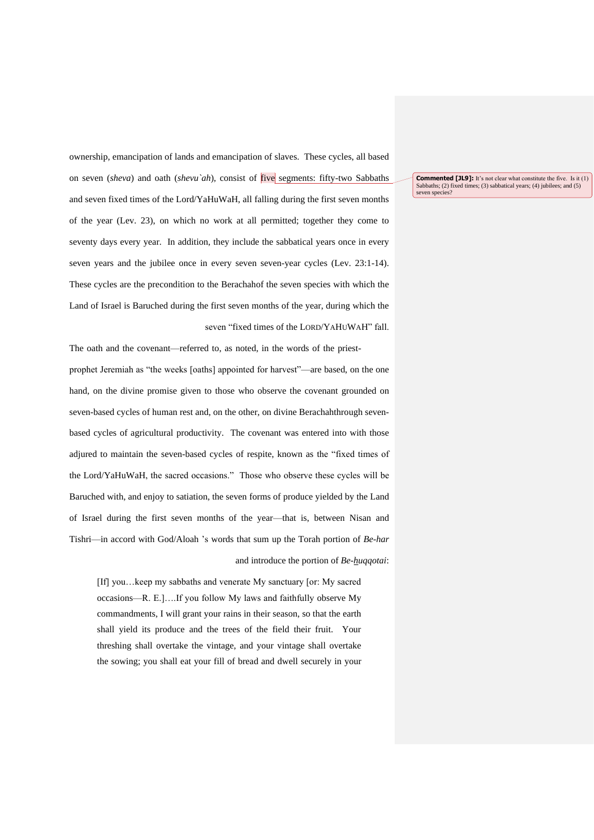ownership, emancipation of lands and emancipation of slaves. These cycles, all based on seven (*sheva*) and oath (*shevuah*), consist of five segments: fifty-two Sabbaths and seven fixed times of the Lord/YaHuWaH, all falling during the first seven months of the year (Lev. 23), on which no work at all permitted; together they come to seventy days every year. In addition, they include the sabbatical years once in every seven years and the jubilee once in every seven seven-year cycles (Lev. 23:1-14). These cycles are the precondition to the Berachahof the seven species with which the Land of Israel is Baruched during the first seven months of the year, during which the seven "fixed times of the LORD/YAHUWAH" fall.

The oath and the covenant—referred to, as noted, in the words of the priestprophet Jeremiah as "the weeks [oaths] appointed for harvest"—are based, on the one hand, on the divine promise given to those who observe the covenant grounded on seven-based cycles of human rest and, on the other, on divine Berachahthrough sevenbased cycles of agricultural productivity. The covenant was entered into with those adjured to maintain the seven-based cycles of respite, known as the "fixed times of the Lord/YaHuWaH, the sacred occasions." Those who observe these cycles will be Baruched with, and enjoy to satiation, the seven forms of produce yielded by the Land of Israel during the first seven months of the year—that is, between Nisan and Tishri—in accord with God/Aloah 's words that sum up the Torah portion of *Be-har* and introduce the portion of *Be-huqqotai*:

[If] you...keep my sabbaths and venerate My sanctuary [or: My sacred occasions—R. E.]….If you follow My laws and faithfully observe My commandments, I will grant your rains in their season, so that the earth shall yield its produce and the trees of the field their fruit. Your threshing shall overtake the vintage, and your vintage shall overtake the sowing; you shall eat your fill of bread and dwell securely in your

**Commented [JL9]:** It's not clear what constitute the five. Is it (1) Sabbaths; (2) fixed times; (3) sabbatical years; (4) jubilees; and (5) seven species?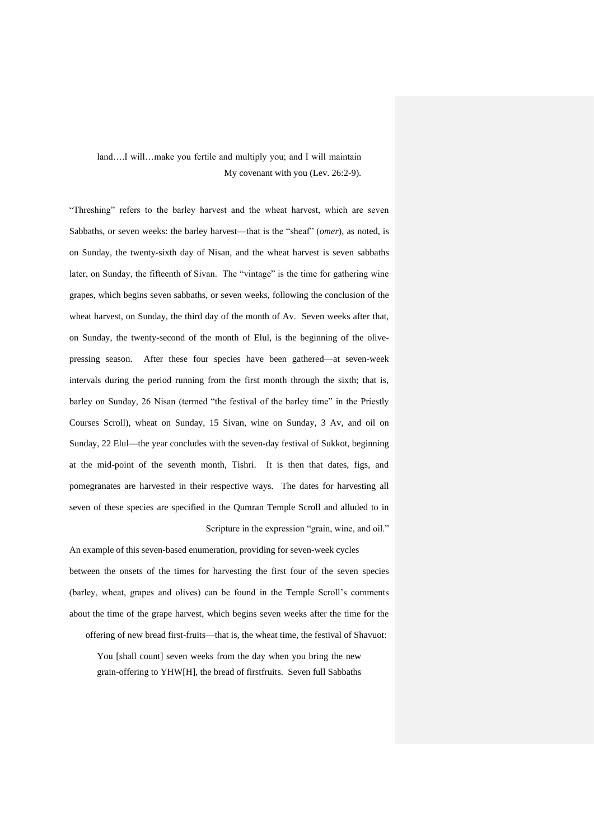land….I will…make you fertile and multiply you; and I will maintain My covenant with you (Lev. 26:2-9).

"Threshing" refers to the barley harvest and the wheat harvest, which are seven Sabbaths, or seven weeks: the barley harvest—that is the "sheaf" (*omer*), as noted, is on Sunday, the twenty-sixth day of Nisan, and the wheat harvest is seven sabbaths later, on Sunday, the fifteenth of Sivan. The "vintage" is the time for gathering wine grapes, which begins seven sabbaths, or seven weeks, following the conclusion of the wheat harvest, on Sunday, the third day of the month of Av. Seven weeks after that, on Sunday, the twenty-second of the month of Elul, is the beginning of the olivepressing season. After these four species have been gathered—at seven-week intervals during the period running from the first month through the sixth; that is, barley on Sunday, 26 Nisan (termed "the festival of the barley time" in the Priestly Courses Scroll), wheat on Sunday, 15 Sivan, wine on Sunday, 3 Av, and oil on Sunday, 22 Elul—the year concludes with the seven-day festival of Sukkot, beginning at the mid-point of the seventh month, Tishri. It is then that dates, figs, and pomegranates are harvested in their respective ways. The dates for harvesting all seven of these species are specified in the Qumran Temple Scroll and alluded to in Scripture in the expression "grain, wine, and oil."

An example of this seven-based enumeration, providing for seven-week cycles between the onsets of the times for harvesting the first four of the seven species (barley, wheat, grapes and olives) can be found in the Temple Scroll's comments about the time of the grape harvest, which begins seven weeks after the time for the offering of new bread first-fruits—that is, the wheat time, the festival of Shavuot:

You [shall count] seven weeks from the day when you bring the new grain-offering to YHW[H], the bread of firstfruits. Seven full Sabbaths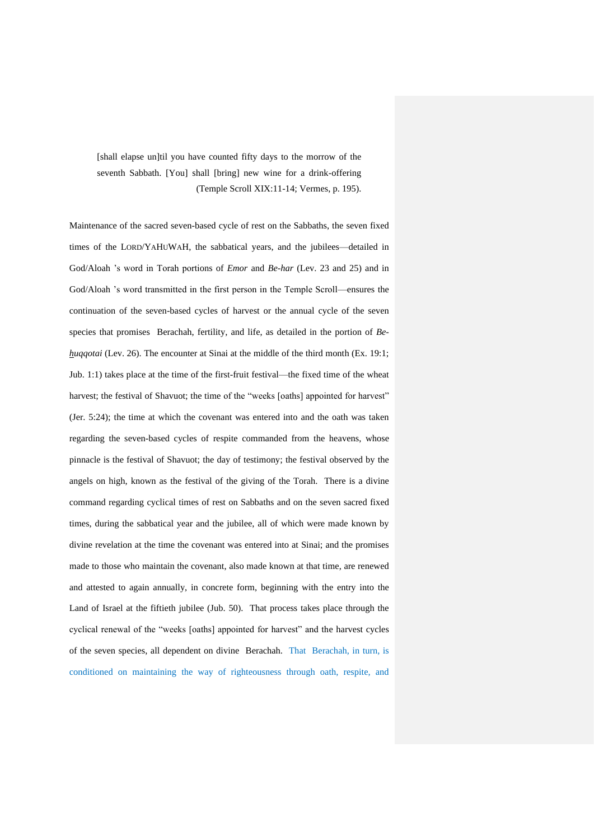[shall elapse un]til you have counted fifty days to the morrow of the seventh Sabbath. [You] shall [bring] new wine for a drink-offering (Temple Scroll XIX:11-14; Vermes, p. 195).

Maintenance of the sacred seven-based cycle of rest on the Sabbaths, the seven fixed times of the LORD/YAHUWAH, the sabbatical years, and the jubilees—detailed in God/Aloah 's word in Torah portions of *Emor* and *Be-har* (Lev. 23 and 25) and in God/Aloah 's word transmitted in the first person in the Temple Scroll—ensures the continuation of the seven-based cycles of harvest or the annual cycle of the seven species that promises Berachah, fertility, and life, as detailed in the portion of *Behuqqotai* (Lev. 26). The encounter at Sinai at the middle of the third month (Ex. 19:1; Jub. 1:1) takes place at the time of the first-fruit festival—the fixed time of the wheat harvest; the festival of Shavuot; the time of the "weeks [oaths] appointed for harvest" (Jer. 5:24); the time at which the covenant was entered into and the oath was taken regarding the seven-based cycles of respite commanded from the heavens, whose pinnacle is the festival of Shavuot; the day of testimony; the festival observed by the angels on high, known as the festival of the giving of the Torah. There is a divine command regarding cyclical times of rest on Sabbaths and on the seven sacred fixed times, during the sabbatical year and the jubilee, all of which were made known by divine revelation at the time the covenant was entered into at Sinai; and the promises made to those who maintain the covenant, also made known at that time, are renewed and attested to again annually, in concrete form, beginning with the entry into the Land of Israel at the fiftieth jubilee (Jub. 50). That process takes place through the cyclical renewal of the "weeks [oaths] appointed for harvest" and the harvest cycles of the seven species, all dependent on divine Berachah. That Berachah, in turn, is conditioned on maintaining the way of righteousness through oath, respite, and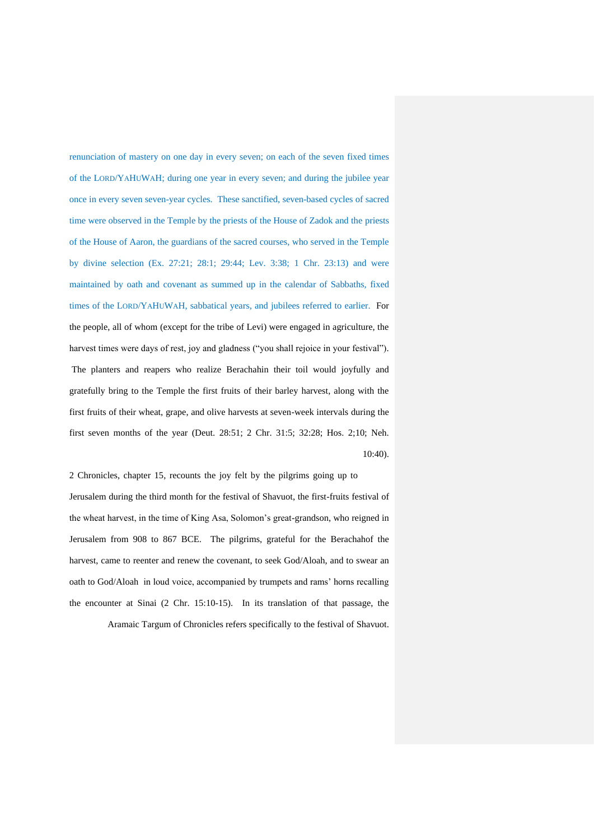renunciation of mastery on one day in every seven; on each of the seven fixed times of the LORD/YAHUWAH; during one year in every seven; and during the jubilee year once in every seven seven-year cycles. These sanctified, seven-based cycles of sacred time were observed in the Temple by the priests of the House of Zadok and the priests of the House of Aaron, the guardians of the sacred courses, who served in the Temple by divine selection (Ex. 27:21; 28:1; 29:44; Lev. 3:38; 1 Chr. 23:13) and were maintained by oath and covenant as summed up in the calendar of Sabbaths, fixed times of the LORD/YAHUWAH, sabbatical years, and jubilees referred to earlier. For the people, all of whom (except for the tribe of Levi) were engaged in agriculture, the harvest times were days of rest, joy and gladness ("you shall rejoice in your festival"). The planters and reapers who realize Berachahin their toil would joyfully and gratefully bring to the Temple the first fruits of their barley harvest, along with the first fruits of their wheat, grape, and olive harvests at seven-week intervals during the first seven months of the year (Deut. 28:51; 2 Chr. 31:5; 32:28; Hos. 2;10; Neh. 10:40).

2 Chronicles, chapter 15, recounts the joy felt by the pilgrims going up to Jerusalem during the third month for the festival of Shavuot, the first-fruits festival of the wheat harvest, in the time of King Asa, Solomon's great-grandson, who reigned in Jerusalem from 908 to 867 BCE. The pilgrims, grateful for the Berachahof the harvest, came to reenter and renew the covenant, to seek God/Aloah, and to swear an oath to God/Aloah in loud voice, accompanied by trumpets and rams' horns recalling the encounter at Sinai (2 Chr. 15:10-15). In its translation of that passage, the

Aramaic Targum of Chronicles refers specifically to the festival of Shavuot.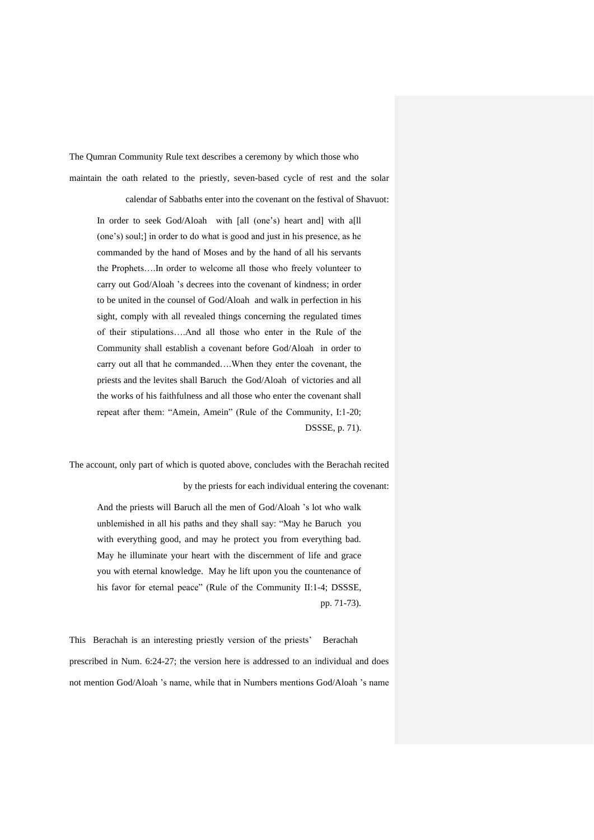The Qumran Community Rule text describes a ceremony by which those who maintain the oath related to the priestly, seven-based cycle of rest and the solar

calendar of Sabbaths enter into the covenant on the festival of Shavuot:

In order to seek God/Aloah with [all (one's) heart and] with a[ll (one's) soul;] in order to do what is good and just in his presence, as he commanded by the hand of Moses and by the hand of all his servants the Prophets….In order to welcome all those who freely volunteer to carry out God/Aloah 's decrees into the covenant of kindness; in order to be united in the counsel of God/Aloah and walk in perfection in his sight, comply with all revealed things concerning the regulated times of their stipulations….And all those who enter in the Rule of the Community shall establish a covenant before God/Aloah in order to carry out all that he commanded….When they enter the covenant, the priests and the levites shall Baruch the God/Aloah of victories and all the works of his faithfulness and all those who enter the covenant shall repeat after them: "Amein, Amein" (Rule of the Community, I:1-20; DSSSE, p. 71).

The account, only part of which is quoted above, concludes with the Berachah recited by the priests for each individual entering the covenant:

And the priests will Baruch all the men of God/Aloah 's lot who walk unblemished in all his paths and they shall say: "May he Baruch you with everything good, and may he protect you from everything bad. May he illuminate your heart with the discernment of life and grace you with eternal knowledge. May he lift upon you the countenance of his favor for eternal peace" (Rule of the Community II:1-4; DSSSE, pp. 71-73).

This Berachah is an interesting priestly version of the priests' Berachah prescribed in Num. 6:24-27; the version here is addressed to an individual and does not mention God/Aloah 's name, while that in Numbers mentions God/Aloah 's name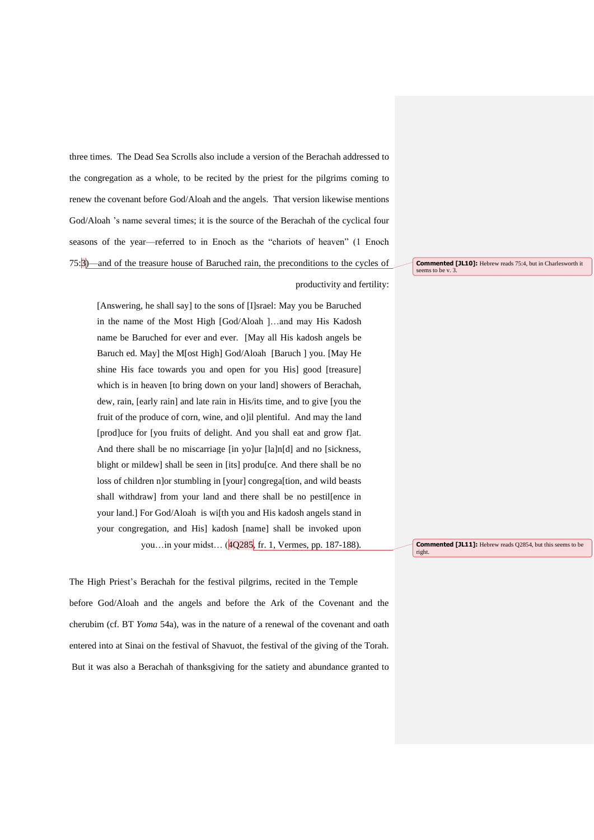three times. The Dead Sea Scrolls also include a version of the Berachah addressed to the congregation as a whole, to be recited by the priest for the pilgrims coming to renew the covenant before God/Aloah and the angels. That version likewise mentions God/Aloah 's name several times; it is the source of the Berachah of the cyclical four seasons of the year—referred to in Enoch as the "chariots of heaven" (1 Enoch 75:3)—and of the treasure house of Baruched rain, the preconditions to the cycles of

**Commented [JL10]:** Hebrew reads 75:4, but in Charlesworth it seems to be v.

productivity and fertility:

[Answering, he shall say] to the sons of [I]srael: May you be Baruched in the name of the Most High [God/Aloah ]…and may His Kadosh name be Baruched for ever and ever. [May all His kadosh angels be Baruch ed. May] the M[ost High] God/Aloah [Baruch ] you. [May He shine His face towards you and open for you His] good [treasure] which is in heaven [to bring down on your land] showers of Berachah, dew, rain, [early rain] and late rain in His/its time, and to give [you the fruit of the produce of corn, wine, and o]il plentiful. And may the land [prod]uce for [you fruits of delight. And you shall eat and grow f]at. And there shall be no miscarriage [in yo]ur [la]n[d] and no [sickness, blight or mildew] shall be seen in [its] produ[ce. And there shall be no loss of children n]or stumbling in [your] congrega[tion, and wild beasts shall withdraw] from your land and there shall be no pestil[ence in your land.] For God/Aloah is wi[th you and His kadosh angels stand in your congregation, and His] kadosh [name] shall be invoked upon you…in your midst… (4Q285, fr. 1, Vermes, pp. 187-188).

The High Priest's Berachah for the festival pilgrims, recited in the Temple before God/Aloah and the angels and before the Ark of the Covenant and the cherubim (cf. BT *Yoma* 54a), was in the nature of a renewal of the covenant and oath entered into at Sinai on the festival of Shavuot, the festival of the giving of the Torah. But it was also a Berachah of thanksgiving for the satiety and abundance granted to

**Commented [JL11]:** Hebrew reads Q2854, but this seems to be right.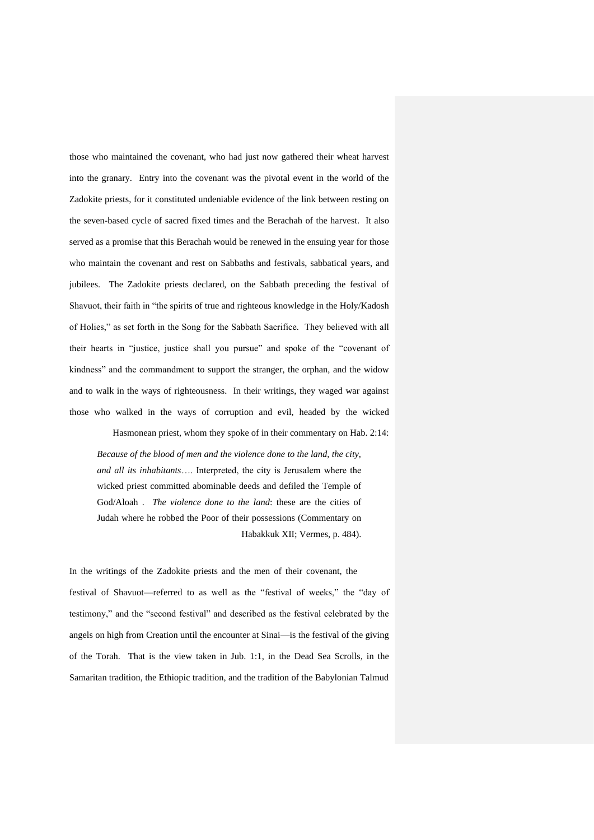those who maintained the covenant, who had just now gathered their wheat harvest into the granary. Entry into the covenant was the pivotal event in the world of the Zadokite priests, for it constituted undeniable evidence of the link between resting on the seven-based cycle of sacred fixed times and the Berachah of the harvest. It also served as a promise that this Berachah would be renewed in the ensuing year for those who maintain the covenant and rest on Sabbaths and festivals, sabbatical years, and jubilees. The Zadokite priests declared, on the Sabbath preceding the festival of Shavuot, their faith in "the spirits of true and righteous knowledge in the Holy/Kadosh of Holies," as set forth in the Song for the Sabbath Sacrifice. They believed with all their hearts in "justice, justice shall you pursue" and spoke of the "covenant of kindness" and the commandment to support the stranger, the orphan, and the widow and to walk in the ways of righteousness. In their writings, they waged war against those who walked in the ways of corruption and evil, headed by the wicked

Hasmonean priest, whom they spoke of in their commentary on Hab. 2:14:

*Because of the blood of men and the violence done to the land, the city, and all its inhabitants*…. Interpreted, the city is Jerusalem where the wicked priest committed abominable deeds and defiled the Temple of God/Aloah . *The violence done to the land*: these are the cities of Judah where he robbed the Poor of their possessions (Commentary on Habakkuk XII; Vermes, p. 484).

In the writings of the Zadokite priests and the men of their covenant, the festival of Shavuot—referred to as well as the "festival of weeks," the "day of testimony," and the "second festival" and described as the festival celebrated by the angels on high from Creation until the encounter at Sinai—is the festival of the giving of the Torah. That is the view taken in Jub. 1:1, in the Dead Sea Scrolls, in the Samaritan tradition, the Ethiopic tradition, and the tradition of the Babylonian Talmud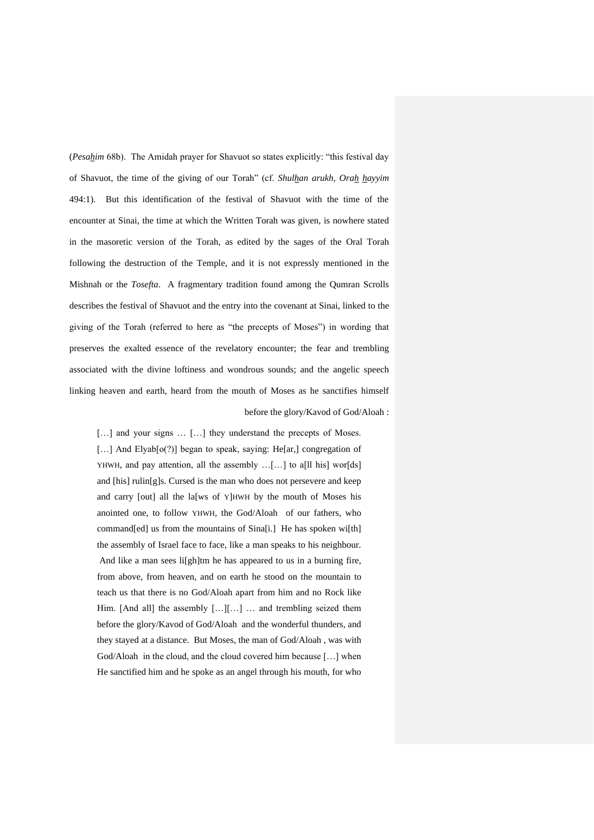(*Pesahim* 68b). The Amidah prayer for Shavuot so states explicitly: "this festival day of Shavuot, the time of the giving of our Torah" (cf. *Shulhan arukh*, *Orah hayyim* 494:1). But this identification of the festival of Shavuot with the time of the encounter at Sinai, the time at which the Written Torah was given, is nowhere stated in the masoretic version of the Torah, as edited by the sages of the Oral Torah following the destruction of the Temple, and it is not expressly mentioned in the Mishnah or the *Tosefta*. A fragmentary tradition found among the Qumran Scrolls describes the festival of Shavuot and the entry into the covenant at Sinai, linked to the giving of the Torah (referred to here as "the precepts of Moses") in wording that preserves the exalted essence of the revelatory encounter; the fear and trembling associated with the divine loftiness and wondrous sounds; and the angelic speech linking heaven and earth, heard from the mouth of Moses as he sanctifies himself before the glory/Kavod of God/Aloah :

[...] and your signs ... [...] they understand the precepts of Moses. [...] And Elyab[o(?)] began to speak, saying: He[ar,] congregation of YHWH, and pay attention, all the assembly ...[...] to a[ll his] wor[ds] and [his] rulin[g]s. Cursed is the man who does not persevere and keep and carry [out] all the la[ws of Y]HWH by the mouth of Moses his anointed one, to follow YHWH, the God/Aloah of our fathers, who command[ed] us from the mountains of Sina[i.] He has spoken wi[th] the assembly of Israel face to face, like a man speaks to his neighbour. And like a man sees li[gh]tm he has appeared to us in a burning fire, from above, from heaven, and on earth he stood on the mountain to teach us that there is no God/Aloah apart from him and no Rock like Him. [And all] the assembly [...][...] ... and trembling seized them before the glory/Kavod of God/Aloah and the wonderful thunders, and they stayed at a distance. But Moses, the man of God/Aloah , was with God/Aloah in the cloud, and the cloud covered him because […] when He sanctified him and he spoke as an angel through his mouth, for who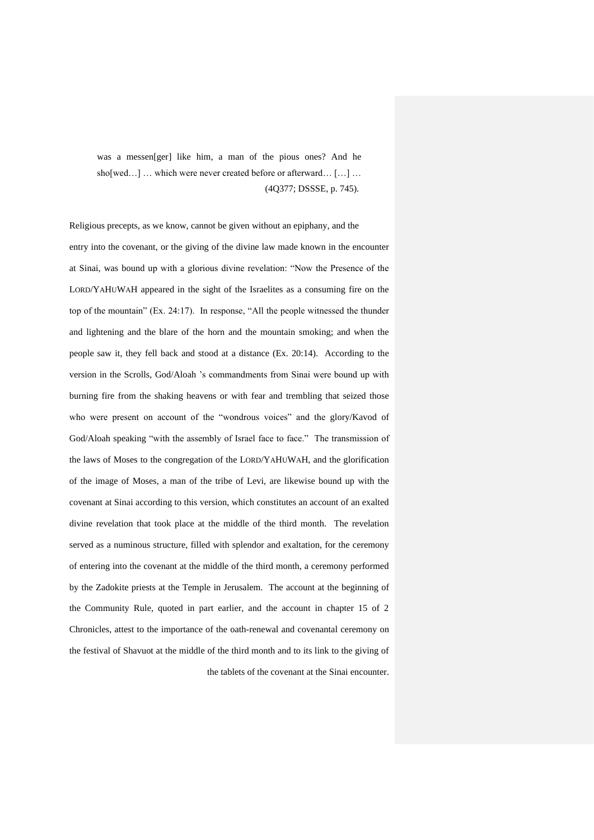was a messen[ger] like him, a man of the pious ones? And he sho[wed…] … which were never created before or afterward… […] … (4Q377; DSSSE, p. 745).

Religious precepts, as we know, cannot be given without an epiphany, and the entry into the covenant, or the giving of the divine law made known in the encounter at Sinai, was bound up with a glorious divine revelation: "Now the Presence of the LORD/YAHUWAH appeared in the sight of the Israelites as a consuming fire on the top of the mountain" (Ex. 24:17). In response, "All the people witnessed the thunder and lightening and the blare of the horn and the mountain smoking; and when the people saw it, they fell back and stood at a distance (Ex. 20:14). According to the version in the Scrolls, God/Aloah 's commandments from Sinai were bound up with burning fire from the shaking heavens or with fear and trembling that seized those who were present on account of the "wondrous voices" and the glory/Kavod of God/Aloah speaking "with the assembly of Israel face to face." The transmission of the laws of Moses to the congregation of the LORD/YAHUWAH, and the glorification of the image of Moses, a man of the tribe of Levi, are likewise bound up with the covenant at Sinai according to this version, which constitutes an account of an exalted divine revelation that took place at the middle of the third month. The revelation served as a numinous structure, filled with splendor and exaltation, for the ceremony of entering into the covenant at the middle of the third month, a ceremony performed by the Zadokite priests at the Temple in Jerusalem. The account at the beginning of the Community Rule, quoted in part earlier, and the account in chapter 15 of 2 Chronicles, attest to the importance of the oath-renewal and covenantal ceremony on the festival of Shavuot at the middle of the third month and to its link to the giving of the tablets of the covenant at the Sinai encounter.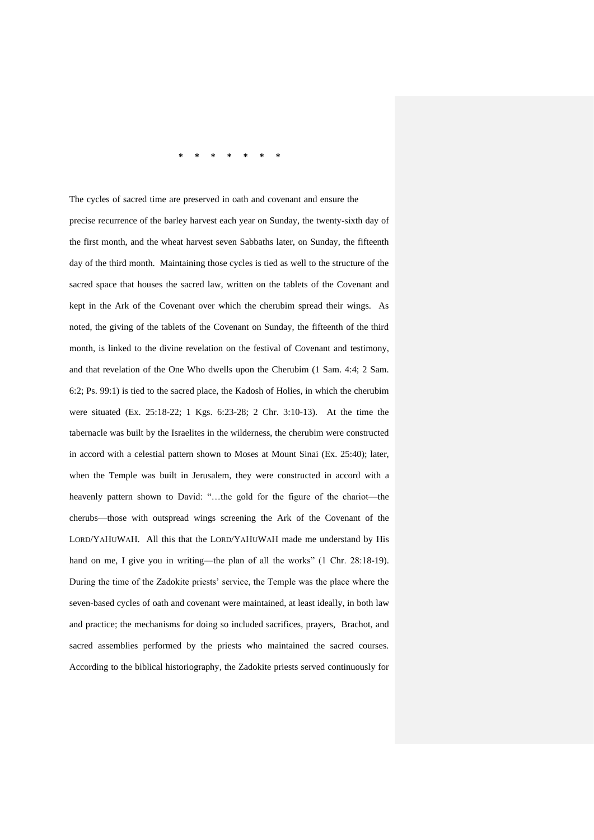**\* \* \* \* \* \* \***

The cycles of sacred time are preserved in oath and covenant and ensure the precise recurrence of the barley harvest each year on Sunday, the twenty-sixth day of the first month, and the wheat harvest seven Sabbaths later, on Sunday, the fifteenth day of the third month. Maintaining those cycles is tied as well to the structure of the sacred space that houses the sacred law, written on the tablets of the Covenant and kept in the Ark of the Covenant over which the cherubim spread their wings. As noted, the giving of the tablets of the Covenant on Sunday, the fifteenth of the third month, is linked to the divine revelation on the festival of Covenant and testimony, and that revelation of the One Who dwells upon the Cherubim (1 Sam. 4:4; 2 Sam. 6:2; Ps. 99:1) is tied to the sacred place, the Kadosh of Holies, in which the cherubim were situated (Ex. 25:18-22; 1 Kgs. 6:23-28; 2 Chr. 3:10-13). At the time the tabernacle was built by the Israelites in the wilderness, the cherubim were constructed in accord with a celestial pattern shown to Moses at Mount Sinai (Ex. 25:40); later, when the Temple was built in Jerusalem, they were constructed in accord with a heavenly pattern shown to David: "…the gold for the figure of the chariot—the cherubs—those with outspread wings screening the Ark of the Covenant of the LORD/YAHUWAH. All this that the LORD/YAHUWAH made me understand by His hand on me, I give you in writing—the plan of all the works" (1 Chr. 28:18-19). During the time of the Zadokite priests' service, the Temple was the place where the seven-based cycles of oath and covenant were maintained, at least ideally, in both law and practice; the mechanisms for doing so included sacrifices, prayers, Brachot, and sacred assemblies performed by the priests who maintained the sacred courses. According to the biblical historiography, the Zadokite priests served continuously for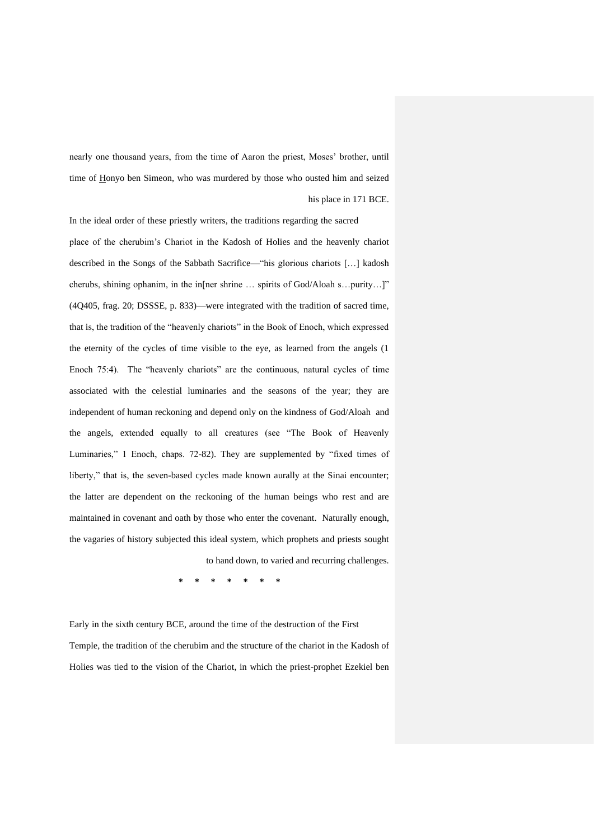nearly one thousand years, from the time of Aaron the priest, Moses' brother, until time of Honyo ben Simeon, who was murdered by those who ousted him and seized his place in 171 BCE.

In the ideal order of these priestly writers, the traditions regarding the sacred place of the cherubim's Chariot in the Kadosh of Holies and the heavenly chariot described in the Songs of the Sabbath Sacrifice—"his glorious chariots […] kadosh cherubs, shining ophanim, in the in[ner shrine … spirits of God/Aloah s…purity…]" (4Q405, frag. 20; DSSSE, p. 833)—were integrated with the tradition of sacred time, that is, the tradition of the "heavenly chariots" in the Book of Enoch, which expressed the eternity of the cycles of time visible to the eye, as learned from the angels (1 Enoch 75:4). The "heavenly chariots" are the continuous, natural cycles of time associated with the celestial luminaries and the seasons of the year; they are independent of human reckoning and depend only on the kindness of God/Aloah and the angels, extended equally to all creatures (see "The Book of Heavenly Luminaries," 1 Enoch, chaps. 72-82). They are supplemented by "fixed times of liberty," that is, the seven-based cycles made known aurally at the Sinai encounter; the latter are dependent on the reckoning of the human beings who rest and are maintained in covenant and oath by those who enter the covenant. Naturally enough, the vagaries of history subjected this ideal system, which prophets and priests sought

to hand down, to varied and recurring challenges.

**\* \* \* \* \* \* \***

Early in the sixth century BCE, around the time of the destruction of the First Temple, the tradition of the cherubim and the structure of the chariot in the Kadosh of Holies was tied to the vision of the Chariot, in which the priest-prophet Ezekiel ben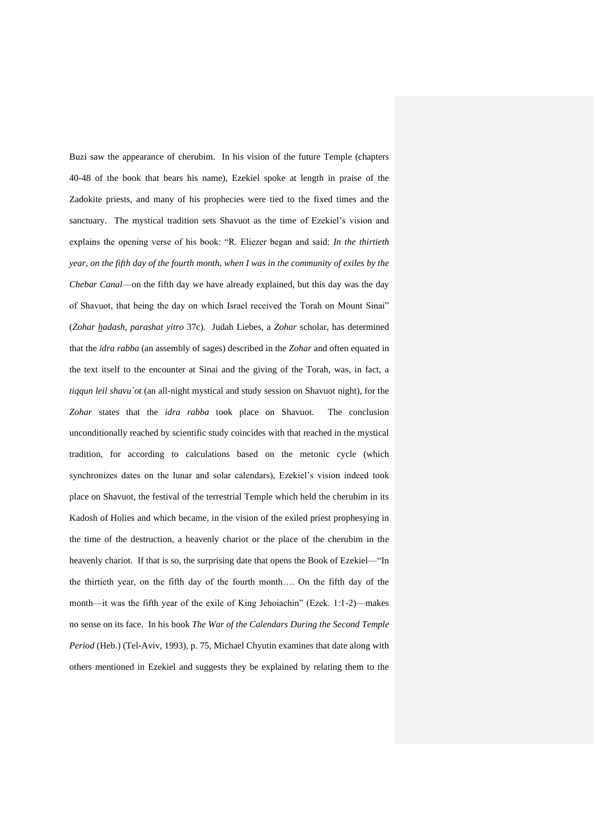Buzi saw the appearance of cherubim. In his vision of the future Temple (chapters 40-48 of the book that bears his name), Ezekiel spoke at length in praise of the Zadokite priests, and many of his prophecies were tied to the fixed times and the sanctuary. The mystical tradition sets Shavuot as the time of Ezekiel's vision and explains the opening verse of his book: "R. Eliezer began and said: *In the thirtieth year, on the fifth day of the fourth month, when I was in the community of exiles by the Chebar Canal*—on the fifth day we have already explained, but this day was the day of Shavuot, that being the day on which Israel received the Torah on Mount Sinai" (*Zohar hadash*, *parashat yitro* 37c). Judah Liebes, a *Zohar* scholar, has determined that the *idra rabba* (an assembly of sages) described in the *Zohar* and often equated in the text itself to the encounter at Sinai and the giving of the Torah, was, in fact, a *tiqqun leil shavu`ot* (an all-night mystical and study session on Shavuot night), for the *Zohar* states that the *idra rabba* took place on Shavuot. The conclusion unconditionally reached by scientific study coincides with that reached in the mystical tradition, for according to calculations based on the metonic cycle (which synchronizes dates on the lunar and solar calendars), Ezekiel's vision indeed took place on Shavuot, the festival of the terrestrial Temple which held the cherubim in its Kadosh of Holies and which became, in the vision of the exiled priest prophesying in the time of the destruction, a heavenly chariot or the place of the cherubim in the heavenly chariot. If that is so, the surprising date that opens the Book of Ezekiel—"In the thirtieth year, on the fifth day of the fourth month…. On the fifth day of the month—it was the fifth year of the exile of King Jehoiachin" (Ezek. 1:1-2)—makes no sense on its face. In his book *The War of the Calendars During the Second Temple Period* (Heb.) (Tel-Aviv, 1993), p. 75, Michael Chyutin examines that date along with others mentioned in Ezekiel and suggests they be explained by relating them to the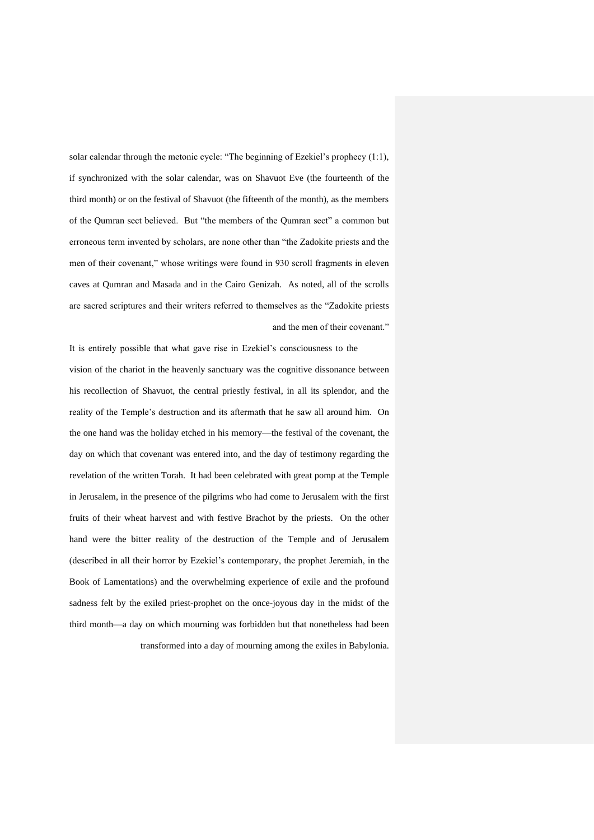solar calendar through the metonic cycle: "The beginning of Ezekiel's prophecy (1:1), if synchronized with the solar calendar, was on Shavuot Eve (the fourteenth of the third month) or on the festival of Shavuot (the fifteenth of the month), as the members of the Qumran sect believed. But "the members of the Qumran sect" a common but erroneous term invented by scholars, are none other than "the Zadokite priests and the men of their covenant," whose writings were found in 930 scroll fragments in eleven caves at Qumran and Masada and in the Cairo Genizah. As noted, all of the scrolls are sacred scriptures and their writers referred to themselves as the "Zadokite priests and the men of their covenant."

It is entirely possible that what gave rise in Ezekiel's consciousness to the vision of the chariot in the heavenly sanctuary was the cognitive dissonance between his recollection of Shavuot, the central priestly festival, in all its splendor, and the reality of the Temple's destruction and its aftermath that he saw all around him. On the one hand was the holiday etched in his memory—the festival of the covenant, the day on which that covenant was entered into, and the day of testimony regarding the revelation of the written Torah. It had been celebrated with great pomp at the Temple in Jerusalem, in the presence of the pilgrims who had come to Jerusalem with the first fruits of their wheat harvest and with festive Brachot by the priests. On the other hand were the bitter reality of the destruction of the Temple and of Jerusalem (described in all their horror by Ezekiel's contemporary, the prophet Jeremiah, in the Book of Lamentations) and the overwhelming experience of exile and the profound sadness felt by the exiled priest-prophet on the once-joyous day in the midst of the third month—a day on which mourning was forbidden but that nonetheless had been transformed into a day of mourning among the exiles in Babylonia.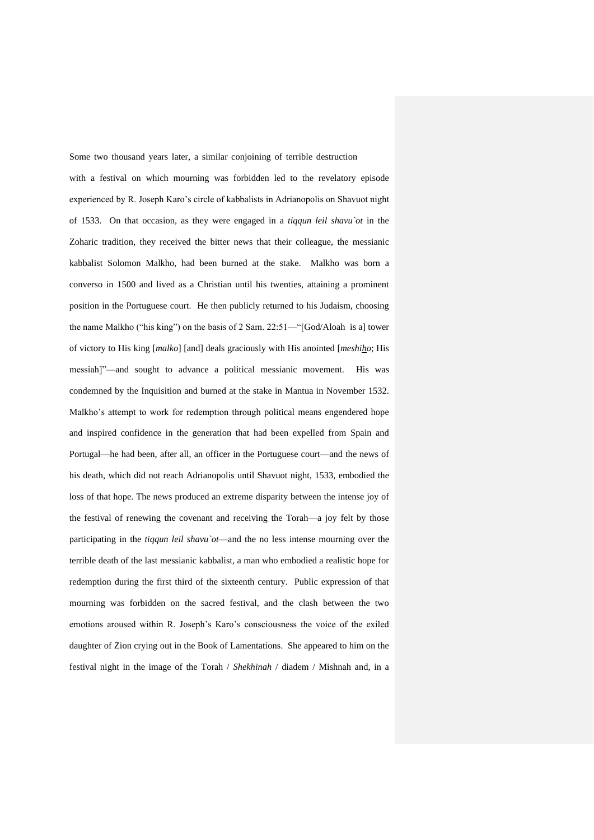Some two thousand years later, a similar conjoining of terrible destruction with a festival on which mourning was forbidden led to the revelatory episode experienced by R. Joseph Karo's circle of kabbalists in Adrianopolis on Shavuot night of 1533. On that occasion, as they were engaged in a *tiqqun leil shavu`ot* in the Zoharic tradition, they received the bitter news that their colleague, the messianic kabbalist Solomon Malkho, had been burned at the stake. Malkho was born a converso in 1500 and lived as a Christian until his twenties, attaining a prominent position in the Portuguese court. He then publicly returned to his Judaism, choosing the name Malkho ("his king") on the basis of 2 Sam. 22:51—"[God/Aloah is a] tower of victory to His king [*malko*] [and] deals graciously with His anointed [*meshiho*; His messiah]"—and sought to advance a political messianic movement. His was condemned by the Inquisition and burned at the stake in Mantua in November 1532. Malkho's attempt to work for redemption through political means engendered hope and inspired confidence in the generation that had been expelled from Spain and Portugal—he had been, after all, an officer in the Portuguese court—and the news of his death, which did not reach Adrianopolis until Shavuot night, 1533, embodied the loss of that hope. The news produced an extreme disparity between the intense joy of the festival of renewing the covenant and receiving the Torah—a joy felt by those participating in the *tiqqun leil shavu`ot*—and the no less intense mourning over the terrible death of the last messianic kabbalist, a man who embodied a realistic hope for redemption during the first third of the sixteenth century. Public expression of that mourning was forbidden on the sacred festival, and the clash between the two emotions aroused within R. Joseph's Karo's consciousness the voice of the exiled daughter of Zion crying out in the Book of Lamentations. She appeared to him on the festival night in the image of the Torah / *Shekhinah* / diadem / Mishnah and, in a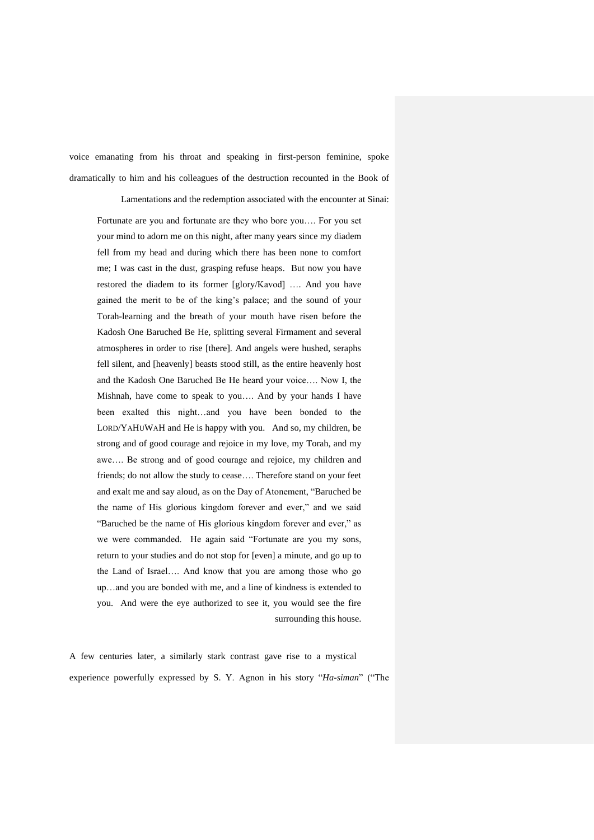voice emanating from his throat and speaking in first-person feminine, spoke dramatically to him and his colleagues of the destruction recounted in the Book of

Lamentations and the redemption associated with the encounter at Sinai:

Fortunate are you and fortunate are they who bore you…. For you set your mind to adorn me on this night, after many years since my diadem fell from my head and during which there has been none to comfort me; I was cast in the dust, grasping refuse heaps. But now you have restored the diadem to its former [glory/Kavod] …. And you have gained the merit to be of the king's palace; and the sound of your Torah-learning and the breath of your mouth have risen before the Kadosh One Baruched Be He, splitting several Firmament and several atmospheres in order to rise [there]. And angels were hushed, seraphs fell silent, and [heavenly] beasts stood still, as the entire heavenly host and the Kadosh One Baruched Be He heard your voice…. Now I, the Mishnah, have come to speak to you…. And by your hands I have been exalted this night…and you have been bonded to the LORD/YAHUWAH and He is happy with you. And so, my children, be strong and of good courage and rejoice in my love, my Torah, and my awe…. Be strong and of good courage and rejoice, my children and friends; do not allow the study to cease…. Therefore stand on your feet and exalt me and say aloud, as on the Day of Atonement, "Baruched be the name of His glorious kingdom forever and ever," and we said "Baruched be the name of His glorious kingdom forever and ever," as we were commanded. He again said "Fortunate are you my sons, return to your studies and do not stop for [even] a minute, and go up to the Land of Israel…. And know that you are among those who go up…and you are bonded with me, and a line of kindness is extended to you. And were the eye authorized to see it, you would see the fire surrounding this house.

A few centuries later, a similarly stark contrast gave rise to a mystical experience powerfully expressed by S. Y. Agnon in his story "*Ha-siman*" ("The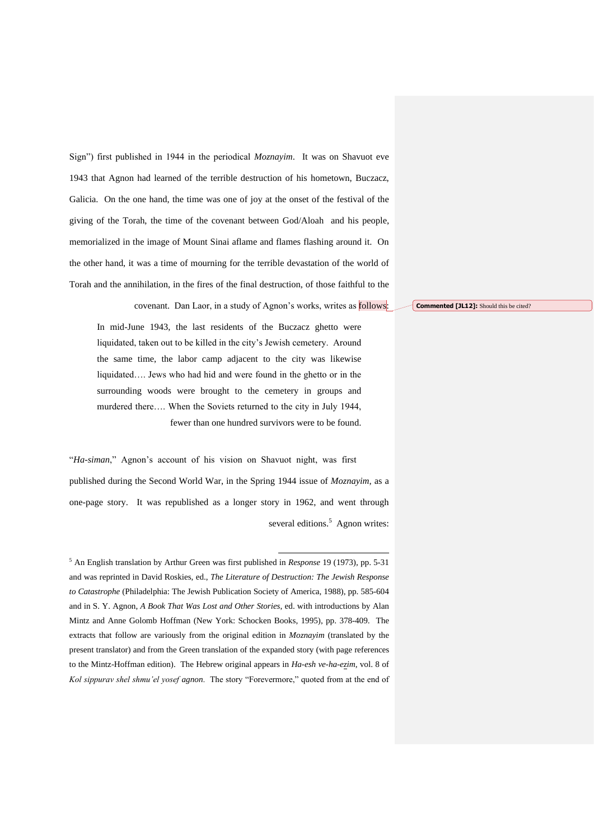Sign") first published in 1944 in the periodical *Moznayim*. It was on Shavuot eve 1943 that Agnon had learned of the terrible destruction of his hometown, Buczacz, Galicia. On the one hand, the time was one of joy at the onset of the festival of the giving of the Torah, the time of the covenant between God/Aloah and his people, memorialized in the image of Mount Sinai aflame and flames flashing around it. On the other hand, it was a time of mourning for the terrible devastation of the world of Torah and the annihilation, in the fires of the final destruction, of those faithful to the

covenant. Dan Laor, in a study of Agnon's works, writes as follows:

In mid-June 1943, the last residents of the Buczacz ghetto were liquidated, taken out to be killed in the city's Jewish cemetery. Around the same time, the labor camp adjacent to the city was likewise liquidated…. Jews who had hid and were found in the ghetto or in the surrounding woods were brought to the cemetery in groups and murdered there…. When the Soviets returned to the city in July 1944, fewer than one hundred survivors were to be found.

"*Ha-siman*," Agnon's account of his vision on Shavuot night, was first published during the Second World War, in the Spring 1944 issue of *Moznayim*, as a one-page story. It was republished as a longer story in 1962, and went through several editions. $5$  Agnon writes:

**Commented [JL12]:** Should this be cited?

<sup>5</sup> An English translation by Arthur Green was first published in *Response* 19 (1973), pp. 5-31 and was reprinted in David Roskies, ed., *The Literature of Destruction: The Jewish Response to Catastrophe* (Philadelphia: The Jewish Publication Society of America, 1988), pp. 585-604 and in S. Y. Agnon, *A Book That Was Lost and Other Stories*, ed. with introductions by Alan Mintz and Anne Golomb Hoffman (New York: Schocken Books, 1995), pp. 378-409. The extracts that follow are variously from the original edition in *Moznayim* (translated by the present translator) and from the Green translation of the expanded story (with page references to the Mintz-Hoffman edition). The Hebrew original appears in *Ha-esh ve-ha-ezim*, vol. 8 of *Kol sippurav shel shmu'el yosef agnon*. The story "Forevermore," quoted from at the end of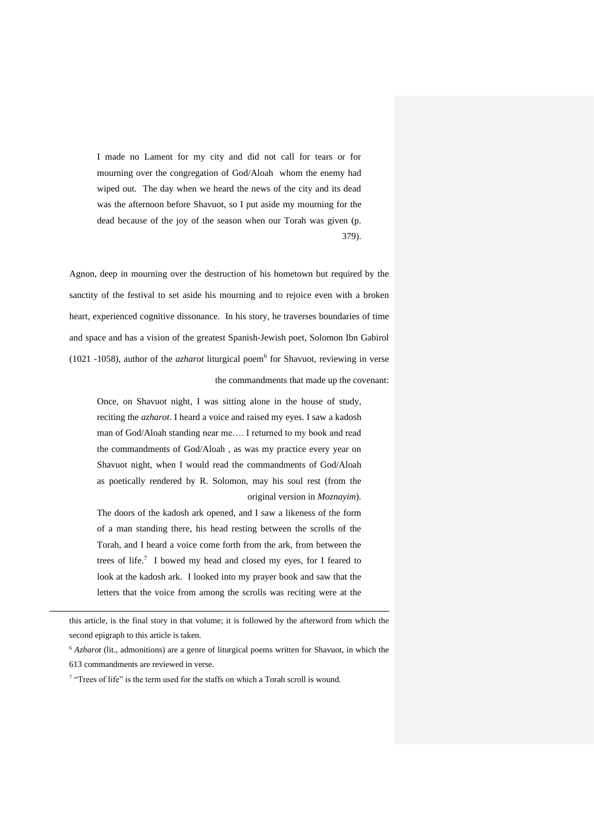I made no Lament for my city and did not call for tears or for mourning over the congregation of God/Aloah whom the enemy had wiped out. The day when we heard the news of the city and its dead was the afternoon before Shavuot, so I put aside my mourning for the dead because of the joy of the season when our Torah was given (p. 379).

Agnon, deep in mourning over the destruction of his hometown but required by the sanctity of the festival to set aside his mourning and to rejoice even with a broken heart, experienced cognitive dissonance. In his story, he traverses boundaries of time and space and has a vision of the greatest Spanish-Jewish poet, Solomon Ibn Gabirol (1021 -1058), author of the *azharot* liturgical poem<sup>6</sup> for Shavuot, reviewing in verse the commandments that made up the covenant:

Once, on Shavuot night, I was sitting alone in the house of study, reciting the *azharot*. I heard a voice and raised my eyes. I saw a kadosh man of God/Aloah standing near me…. I returned to my book and read the commandments of God/Aloah , as was my practice every year on Shavuot night, when I would read the commandments of God/Aloah as poetically rendered by R. Solomon, may his soul rest (from the original version in *Moznayim*).

The doors of the kadosh ark opened, and I saw a likeness of the form of a man standing there, his head resting between the scrolls of the Torah, and I heard a voice come forth from the ark, from between the trees of life. $7$  I bowed my head and closed my eyes, for I feared to look at the kadosh ark. I looked into my prayer book and saw that the letters that the voice from among the scrolls was reciting were at the

this article, is the final story in that volume; it is followed by the afterword from which the second epigraph to this article is taken.

<sup>6</sup> *Azharot* (lit., admonitions) are a genre of liturgical poems written for Shavuot, in which the 613 commandments are reviewed in verse.

<sup>&</sup>lt;sup>7</sup> "Trees of life" is the term used for the staffs on which a Torah scroll is wound.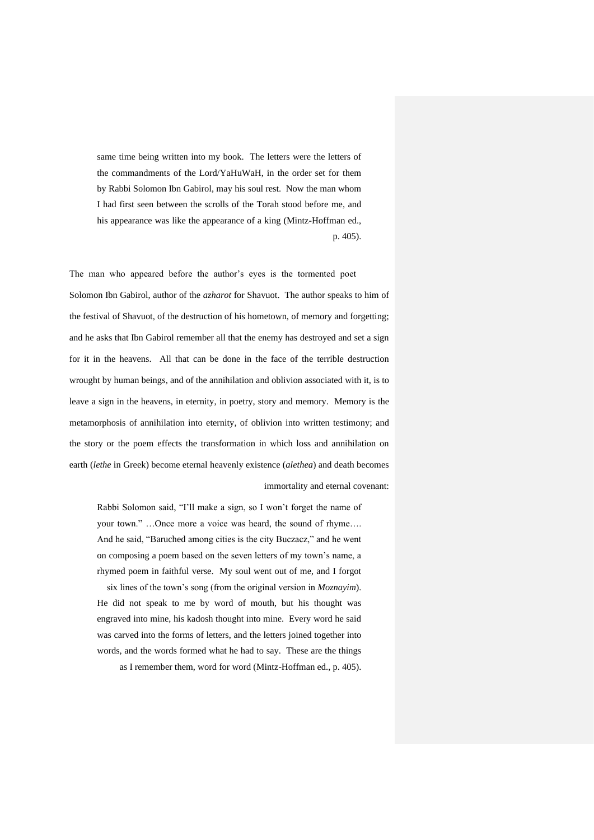same time being written into my book. The letters were the letters of the commandments of the Lord/YaHuWaH, in the order set for them by Rabbi Solomon Ibn Gabirol, may his soul rest. Now the man whom I had first seen between the scrolls of the Torah stood before me, and his appearance was like the appearance of a king (Mintz-Hoffman ed., p. 405).

The man who appeared before the author's eyes is the tormented poet Solomon Ibn Gabirol, author of the *azharot* for Shavuot. The author speaks to him of the festival of Shavuot, of the destruction of his hometown, of memory and forgetting; and he asks that Ibn Gabirol remember all that the enemy has destroyed and set a sign for it in the heavens. All that can be done in the face of the terrible destruction wrought by human beings, and of the annihilation and oblivion associated with it, is to leave a sign in the heavens, in eternity, in poetry, story and memory. Memory is the metamorphosis of annihilation into eternity, of oblivion into written testimony; and the story or the poem effects the transformation in which loss and annihilation on earth (*lethe* in Greek) become eternal heavenly existence (*alethea*) and death becomes immortality and eternal covenant:

Rabbi Solomon said, "I'll make a sign, so I won't forget the name of your town." …Once more a voice was heard, the sound of rhyme…. And he said, "Baruched among cities is the city Buczacz," and he went on composing a poem based on the seven letters of my town's name, a rhymed poem in faithful verse. My soul went out of me, and I forgot six lines of the town's song (from the original version in *Moznayim*). He did not speak to me by word of mouth, but his thought was engraved into mine, his kadosh thought into mine. Every word he said was carved into the forms of letters, and the letters joined together into words, and the words formed what he had to say. These are the things as I remember them, word for word (Mintz-Hoffman ed., p. 405).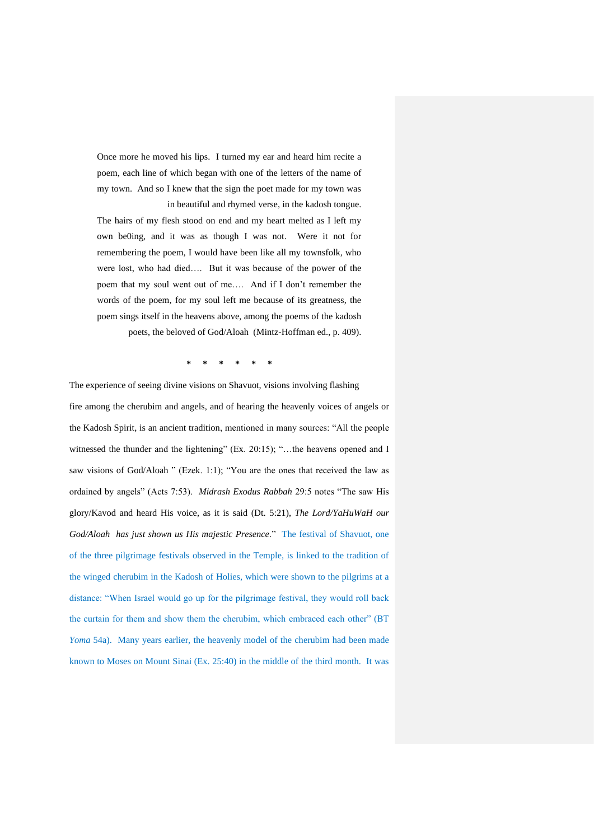Once more he moved his lips. I turned my ear and heard him recite a poem, each line of which began with one of the letters of the name of my town. And so I knew that the sign the poet made for my town was in beautiful and rhymed verse, in the kadosh tongue.

The hairs of my flesh stood on end and my heart melted as I left my own be0ing, and it was as though I was not. Were it not for remembering the poem, I would have been like all my townsfolk, who were lost, who had died…. But it was because of the power of the poem that my soul went out of me…. And if I don't remember the words of the poem, for my soul left me because of its greatness, the poem sings itself in the heavens above, among the poems of the kadosh poets, the beloved of God/Aloah (Mintz-Hoffman ed., p. 409).

**\* \* \* \* \* \***

The experience of seeing divine visions on Shavuot, visions involving flashing fire among the cherubim and angels, and of hearing the heavenly voices of angels or the Kadosh Spirit, is an ancient tradition, mentioned in many sources: "All the people witnessed the thunder and the lightening" (Ex. 20:15); "...the heavens opened and I saw visions of God/Aloah " (Ezek. 1:1); "You are the ones that received the law as ordained by angels" (Acts 7:53). *Midrash Exodus Rabbah* 29:5 notes "The saw His glory/Kavod and heard His voice, as it is said (Dt. 5:21), *The Lord/YaHuWaH our God/Aloah has just shown us His majestic Presence*." The festival of Shavuot, one of the three pilgrimage festivals observed in the Temple, is linked to the tradition of the winged cherubim in the Kadosh of Holies, which were shown to the pilgrims at a distance: "When Israel would go up for the pilgrimage festival, they would roll back the curtain for them and show them the cherubim, which embraced each other" (BT *Yoma* 54a). Many years earlier, the heavenly model of the cherubim had been made known to Moses on Mount Sinai (Ex. 25:40) in the middle of the third month. It was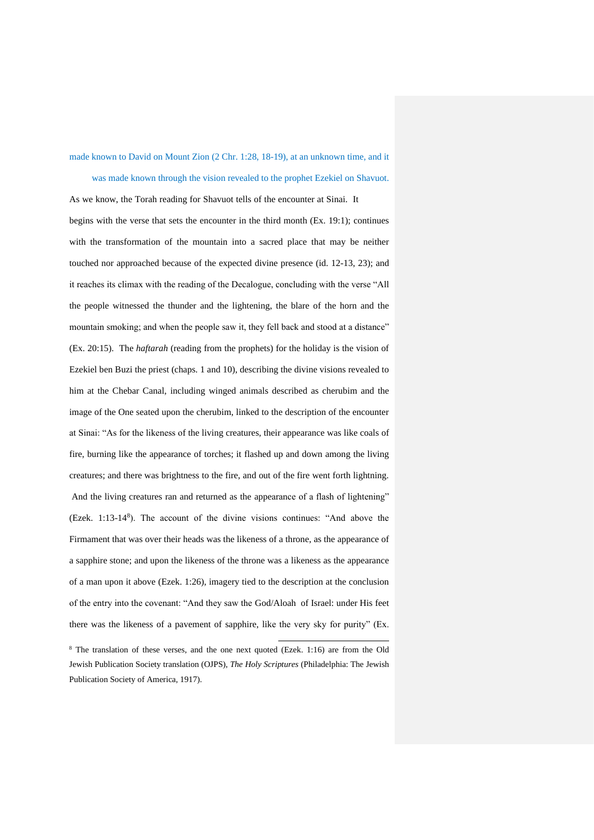made known to David on Mount Zion (2 Chr. 1:28, 18-19), at an unknown time, and it was made known through the vision revealed to the prophet Ezekiel on Shavuot.

As we know, the Torah reading for Shavuot tells of the encounter at Sinai. It begins with the verse that sets the encounter in the third month (Ex. 19:1); continues with the transformation of the mountain into a sacred place that may be neither touched nor approached because of the expected divine presence (id. 12-13, 23); and it reaches its climax with the reading of the Decalogue, concluding with the verse "All the people witnessed the thunder and the lightening, the blare of the horn and the mountain smoking; and when the people saw it, they fell back and stood at a distance" (Ex. 20:15). The *haftarah* (reading from the prophets) for the holiday is the vision of Ezekiel ben Buzi the priest (chaps. 1 and 10), describing the divine visions revealed to him at the Chebar Canal, including winged animals described as cherubim and the image of the One seated upon the cherubim, linked to the description of the encounter at Sinai: "As for the likeness of the living creatures, their appearance was like coals of fire, burning like the appearance of torches; it flashed up and down among the living creatures; and there was brightness to the fire, and out of the fire went forth lightning. And the living creatures ran and returned as the appearance of a flash of lightening" (Ezek. 1:13-14 $\text{8}$ ). The account of the divine visions continues: "And above the Firmament that was over their heads was the likeness of a throne, as the appearance of a sapphire stone; and upon the likeness of the throne was a likeness as the appearance of a man upon it above (Ezek. 1:26), imagery tied to the description at the conclusion of the entry into the covenant: "And they saw the God/Aloah of Israel: under His feet there was the likeness of a pavement of sapphire, like the very sky for purity" (Ex.

<sup>8</sup> The translation of these verses, and the one next quoted (Ezek. 1:16) are from the Old Jewish Publication Society translation (OJPS), *The Holy Scriptures* (Philadelphia: The Jewish Publication Society of America, 1917).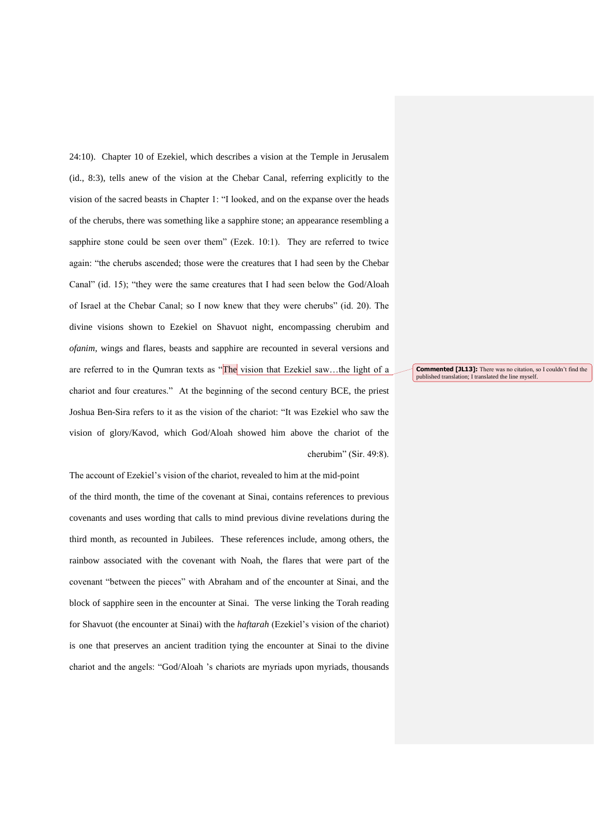24:10). Chapter 10 of Ezekiel, which describes a vision at the Temple in Jerusalem (id., 8:3), tells anew of the vision at the Chebar Canal, referring explicitly to the vision of the sacred beasts in Chapter 1: "I looked, and on the expanse over the heads of the cherubs, there was something like a sapphire stone; an appearance resembling a sapphire stone could be seen over them" (Ezek. 10:1). They are referred to twice again: "the cherubs ascended; those were the creatures that I had seen by the Chebar Canal" (id. 15); "they were the same creatures that I had seen below the God/Aloah of Israel at the Chebar Canal; so I now knew that they were cherubs" (id. 20). The divine visions shown to Ezekiel on Shavuot night, encompassing cherubim and *ofanim*, wings and flares, beasts and sapphire are recounted in several versions and are referred to in the Qumran texts as "The vision that Ezekiel saw…the light of a chariot and four creatures." At the beginning of the second century BCE, the priest Joshua Ben-Sira refers to it as the vision of the chariot: "It was Ezekiel who saw the vision of glory/Kavod, which God/Aloah showed him above the chariot of the cherubim" (Sir. 49:8).

The account of Ezekiel's vision of the chariot, revealed to him at the mid-point of the third month, the time of the covenant at Sinai, contains references to previous covenants and uses wording that calls to mind previous divine revelations during the third month, as recounted in Jubilees. These references include, among others, the rainbow associated with the covenant with Noah, the flares that were part of the covenant "between the pieces" with Abraham and of the encounter at Sinai, and the block of sapphire seen in the encounter at Sinai. The verse linking the Torah reading for Shavuot (the encounter at Sinai) with the *haftarah* (Ezekiel's vision of the chariot) is one that preserves an ancient tradition tying the encounter at Sinai to the divine chariot and the angels: "God/Aloah 's chariots are myriads upon myriads, thousands

**Commented [JL13]:** There was no citation, so I couldn't find the published translation; I translated the line myself.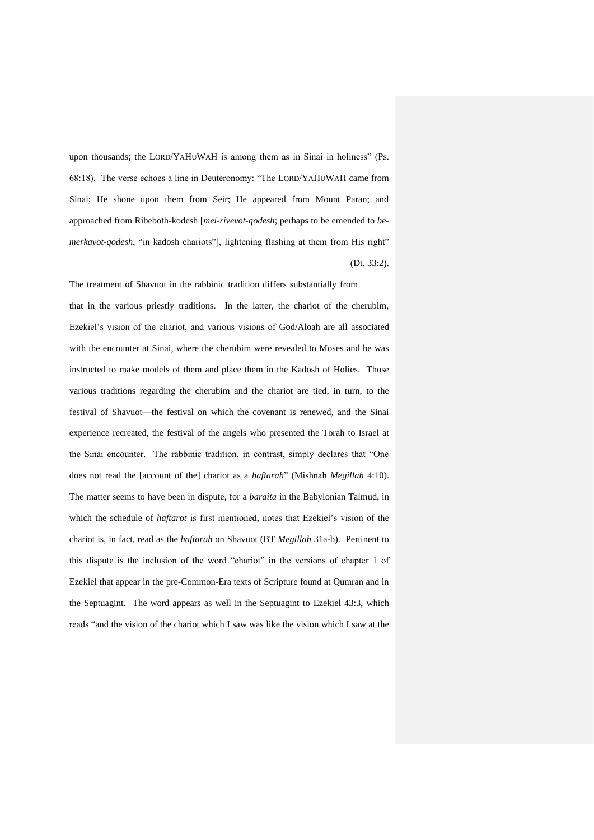upon thousands; the LORD/YAHUWAH is among them as in Sinai in holiness" (Ps. 68:18). The verse echoes a line in Deuteronomy: "The LORD/YAHUWAH came from Sinai; He shone upon them from Seir; He appeared from Mount Paran; and approached from Ribeboth-kodesh [*mei-rivevot-qodesh*; perhaps to be emended to *bemerkavot-qodesh*, "in kadosh chariots"], lightening flashing at them from His right" (Dt. 33:2).

The treatment of Shavuot in the rabbinic tradition differs substantially from that in the various priestly traditions. In the latter, the chariot of the cherubim, Ezekiel's vision of the chariot, and various visions of God/Aloah are all associated with the encounter at Sinai, where the cherubim were revealed to Moses and he was instructed to make models of them and place them in the Kadosh of Holies. Those various traditions regarding the cherubim and the chariot are tied, in turn, to the festival of Shavuot—the festival on which the covenant is renewed, and the Sinai experience recreated, the festival of the angels who presented the Torah to Israel at the Sinai encounter. The rabbinic tradition, in contrast, simply declares that "One does not read the [account of the] chariot as a *haftarah*" (Mishnah *Megillah* 4:10). The matter seems to have been in dispute, for a *baraita* in the Babylonian Talmud, in which the schedule of *haftarot* is first mentioned, notes that Ezekiel's vision of the chariot is, in fact, read as the *haftarah* on Shavuot (BT *Megillah* 31a-b). Pertinent to this dispute is the inclusion of the word "chariot" in the versions of chapter 1 of Ezekiel that appear in the pre-Common-Era texts of Scripture found at Qumran and in the Septuagint. The word appears as well in the Septuagint to Ezekiel 43:3, which reads "and the vision of the chariot which I saw was like the vision which I saw at the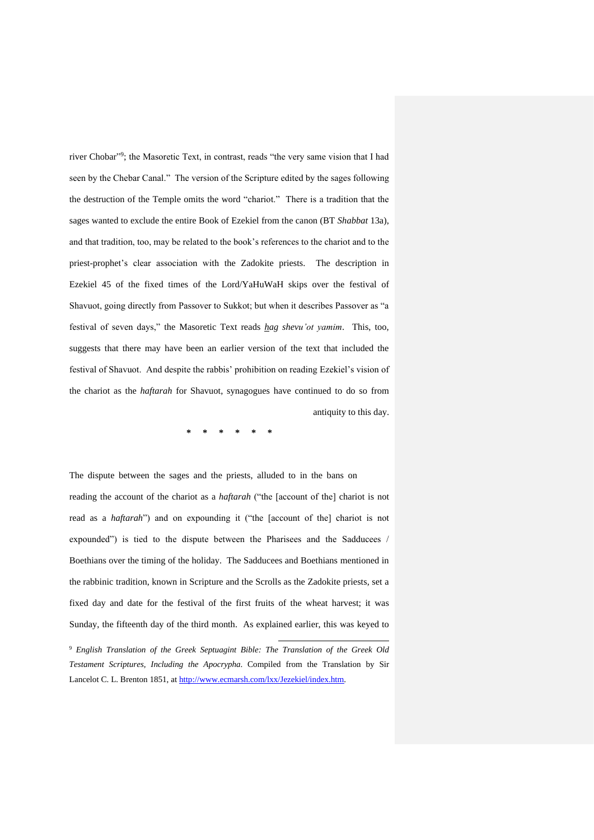river Chobar"<sup>9</sup>; the Masoretic Text, in contrast, reads "the very same vision that I had seen by the Chebar Canal." The version of the Scripture edited by the sages following the destruction of the Temple omits the word "chariot." There is a tradition that the sages wanted to exclude the entire Book of Ezekiel from the canon (BT *Shabbat* 13a), and that tradition, too, may be related to the book's references to the chariot and to the priest-prophet's clear association with the Zadokite priests. The description in Ezekiel 45 of the fixed times of the Lord/YaHuWaH skips over the festival of Shavuot, going directly from Passover to Sukkot; but when it describes Passover as "a festival of seven days," the Masoretic Text reads *hag shevu'ot yamim*. This, too, suggests that there may have been an earlier version of the text that included the festival of Shavuot. And despite the rabbis' prohibition on reading Ezekiel's vision of the chariot as the *haftarah* for Shavuot, synagogues have continued to do so from antiquity to this day.

**\* \* \* \* \* \***

The dispute between the sages and the priests, alluded to in the bans on reading the account of the chariot as a *haftarah* ("the [account of the] chariot is not read as a *haftarah*") and on expounding it ("the [account of the] chariot is not expounded") is tied to the dispute between the Pharisees and the Sadducees / Boethians over the timing of the holiday. The Sadducees and Boethians mentioned in the rabbinic tradition, known in Scripture and the Scrolls as the Zadokite priests, set a fixed day and date for the festival of the first fruits of the wheat harvest; it was Sunday, the fifteenth day of the third month. As explained earlier, this was keyed to

<sup>9</sup> *English Translation of the Greek Septuagint Bible: The Translation of the Greek Old Testament Scriptures, Including the Apocrypha*. Compiled from the Translation by Sir Lancelot C. L. Brenton 1851, at [http://www.ecmarsh.com/lxx/Jezekiel/index.htm.](http://www.ecmarsh.com/lxx/Jezekiel/index.htm)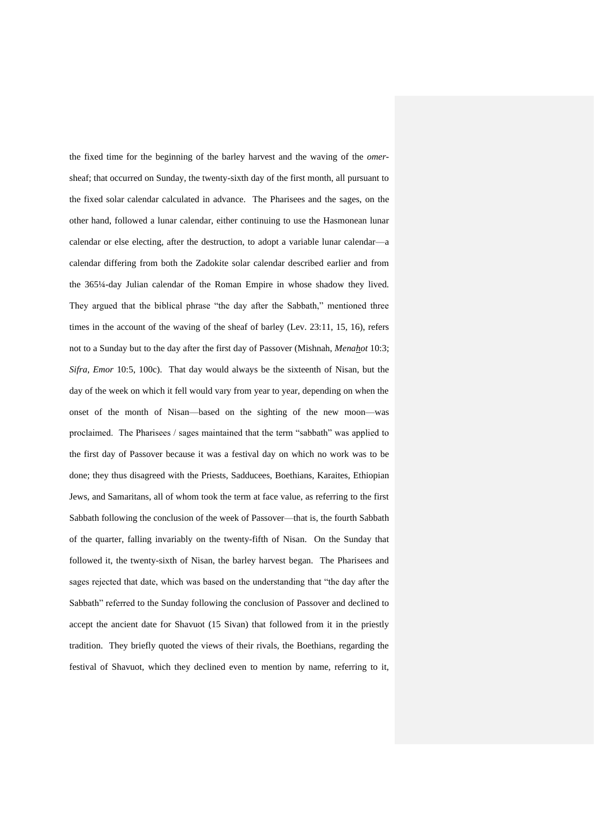the fixed time for the beginning of the barley harvest and the waving of the *omer*sheaf; that occurred on Sunday, the twenty-sixth day of the first month, all pursuant to the fixed solar calendar calculated in advance. The Pharisees and the sages, on the other hand, followed a lunar calendar, either continuing to use the Hasmonean lunar calendar or else electing, after the destruction, to adopt a variable lunar calendar—a calendar differing from both the Zadokite solar calendar described earlier and from the 365¼-day Julian calendar of the Roman Empire in whose shadow they lived. They argued that the biblical phrase "the day after the Sabbath," mentioned three times in the account of the waving of the sheaf of barley (Lev. 23:11, 15, 16), refers not to a Sunday but to the day after the first day of Passover (Mishnah, *Menahot* 10:3; *Sifra*, *Emor* 10:5, 100c). That day would always be the sixteenth of Nisan, but the day of the week on which it fell would vary from year to year, depending on when the onset of the month of Nisan—based on the sighting of the new moon—was proclaimed. The Pharisees / sages maintained that the term "sabbath" was applied to the first day of Passover because it was a festival day on which no work was to be done; they thus disagreed with the Priests, Sadducees, Boethians, Karaites, Ethiopian Jews, and Samaritans, all of whom took the term at face value, as referring to the first Sabbath following the conclusion of the week of Passover—that is, the fourth Sabbath of the quarter, falling invariably on the twenty-fifth of Nisan. On the Sunday that followed it, the twenty-sixth of Nisan, the barley harvest began. The Pharisees and sages rejected that date, which was based on the understanding that "the day after the Sabbath" referred to the Sunday following the conclusion of Passover and declined to accept the ancient date for Shavuot (15 Sivan) that followed from it in the priestly tradition. They briefly quoted the views of their rivals, the Boethians, regarding the festival of Shavuot, which they declined even to mention by name, referring to it,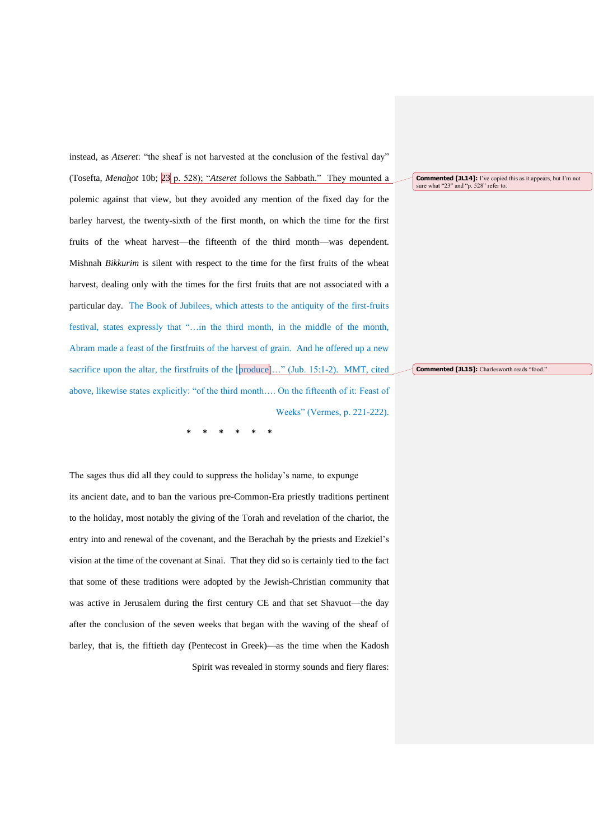instead, as *Atseret*: "the sheaf is not harvested at the conclusion of the festival day" (Tosefta, *Menahot* 10b; 23 p. 528); "*Atseret* follows the Sabbath." They mounted a polemic against that view, but they avoided any mention of the fixed day for the barley harvest, the twenty-sixth of the first month, on which the time for the first fruits of the wheat harvest—the fifteenth of the third month—was dependent. Mishnah *Bikkurim* is silent with respect to the time for the first fruits of the wheat harvest, dealing only with the times for the first fruits that are not associated with a particular day. The Book of Jubilees, which attests to the antiquity of the first-fruits festival, states expressly that "…in the third month, in the middle of the month, Abram made a feast of the firstfruits of the harvest of grain. And he offered up a new sacrifice upon the altar, the firstfruits of the [produce]..." (Jub. 15:1-2). MMT, cited above, likewise states explicitly: "of the third month…. On the fifteenth of it: Feast of Weeks" (Vermes, p. 221-222).

**\* \* \* \* \* \***

The sages thus did all they could to suppress the holiday's name, to expunge its ancient date, and to ban the various pre-Common-Era priestly traditions pertinent to the holiday, most notably the giving of the Torah and revelation of the chariot, the entry into and renewal of the covenant, and the Berachah by the priests and Ezekiel's vision at the time of the covenant at Sinai. That they did so is certainly tied to the fact that some of these traditions were adopted by the Jewish-Christian community that was active in Jerusalem during the first century CE and that set Shavuot—the day after the conclusion of the seven weeks that began with the waving of the sheaf of barley, that is, the fiftieth day (Pentecost in Greek)—as the time when the Kadosh Spirit was revealed in stormy sounds and fiery flares:

**Commented [JL14]:** I've copied this as it appears, but I'm not sure what "23" and "p. 528" refer to.

**Commented [JL15]:** Charlesworth reads "food.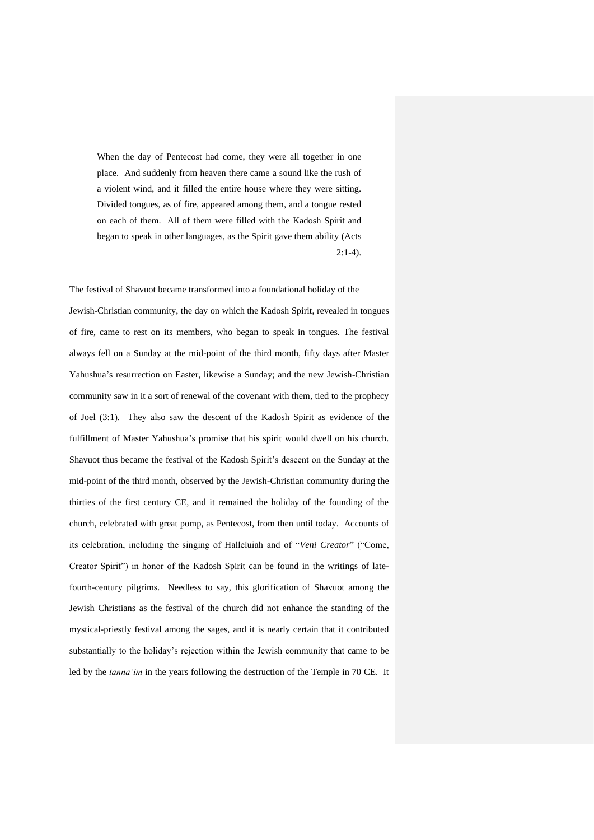When the day of Pentecost had come, they were all together in one place. And suddenly from heaven there came a sound like the rush of a violent wind, and it filled the entire house where they were sitting. Divided tongues, as of fire, appeared among them, and a tongue rested on each of them. All of them were filled with the Kadosh Spirit and began to speak in other languages, as the Spirit gave them ability (Acts  $2:1-4$ ).

The festival of Shavuot became transformed into a foundational holiday of the Jewish-Christian community, the day on which the Kadosh Spirit, revealed in tongues of fire, came to rest on its members, who began to speak in tongues. The festival always fell on a Sunday at the mid-point of the third month, fifty days after Master Yahushua's resurrection on Easter, likewise a Sunday; and the new Jewish-Christian community saw in it a sort of renewal of the covenant with them, tied to the prophecy of Joel (3:1). They also saw the descent of the Kadosh Spirit as evidence of the fulfillment of Master Yahushua's promise that his spirit would dwell on his church. Shavuot thus became the festival of the Kadosh Spirit's descent on the Sunday at the mid-point of the third month, observed by the Jewish-Christian community during the thirties of the first century CE, and it remained the holiday of the founding of the church, celebrated with great pomp, as Pentecost, from then until today. Accounts of its celebration, including the singing of Halleluiah and of "*Veni Creator*" ("Come, Creator Spirit") in honor of the Kadosh Spirit can be found in the writings of latefourth-century pilgrims. Needless to say, this glorification of Shavuot among the Jewish Christians as the festival of the church did not enhance the standing of the mystical-priestly festival among the sages, and it is nearly certain that it contributed substantially to the holiday's rejection within the Jewish community that came to be led by the *tanna'im* in the years following the destruction of the Temple in 70 CE. It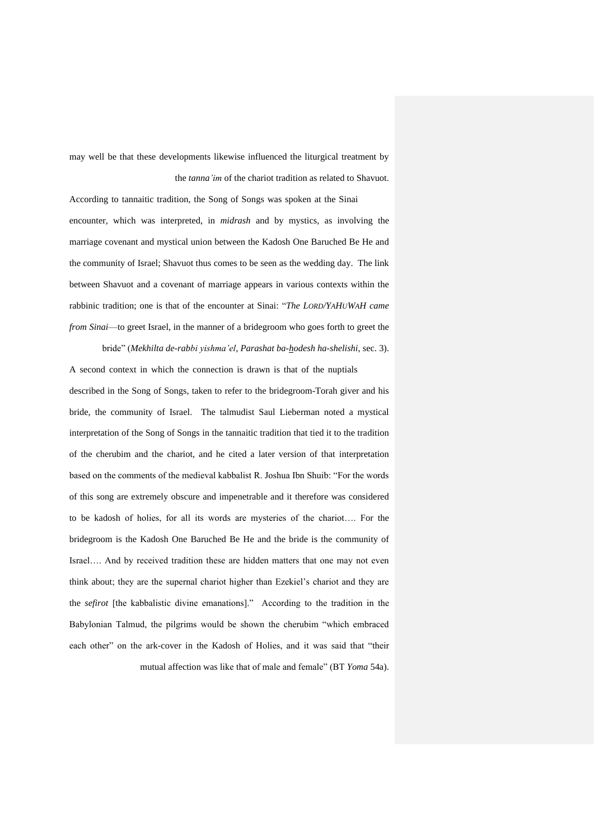may well be that these developments likewise influenced the liturgical treatment by the *tanna'im* of the chariot tradition as related to Shavuot.

According to tannaitic tradition, the Song of Songs was spoken at the Sinai encounter, which was interpreted, in *midrash* and by mystics, as involving the marriage covenant and mystical union between the Kadosh One Baruched Be He and the community of Israel; Shavuot thus comes to be seen as the wedding day. The link between Shavuot and a covenant of marriage appears in various contexts within the rabbinic tradition; one is that of the encounter at Sinai: "*The LORD/YAHUWAH came from Sinai*—to greet Israel, in the manner of a bridegroom who goes forth to greet the

bride" (*Mekhilta de-rabbi yishma'el*, *Parashat ba-hodesh ha-shelishi*, sec. 3).

A second context in which the connection is drawn is that of the nuptials described in the Song of Songs, taken to refer to the bridegroom-Torah giver and his bride, the community of Israel. The talmudist Saul Lieberman noted a mystical interpretation of the Song of Songs in the tannaitic tradition that tied it to the tradition of the cherubim and the chariot, and he cited a later version of that interpretation based on the comments of the medieval kabbalist R. Joshua Ibn Shuib: "For the words of this song are extremely obscure and impenetrable and it therefore was considered to be kadosh of holies, for all its words are mysteries of the chariot…. For the bridegroom is the Kadosh One Baruched Be He and the bride is the community of Israel…. And by received tradition these are hidden matters that one may not even think about; they are the supernal chariot higher than Ezekiel's chariot and they are the *sefirot* [the kabbalistic divine emanations]." According to the tradition in the Babylonian Talmud, the pilgrims would be shown the cherubim "which embraced each other" on the ark-cover in the Kadosh of Holies, and it was said that "their mutual affection was like that of male and female" (BT *Yoma* 54a).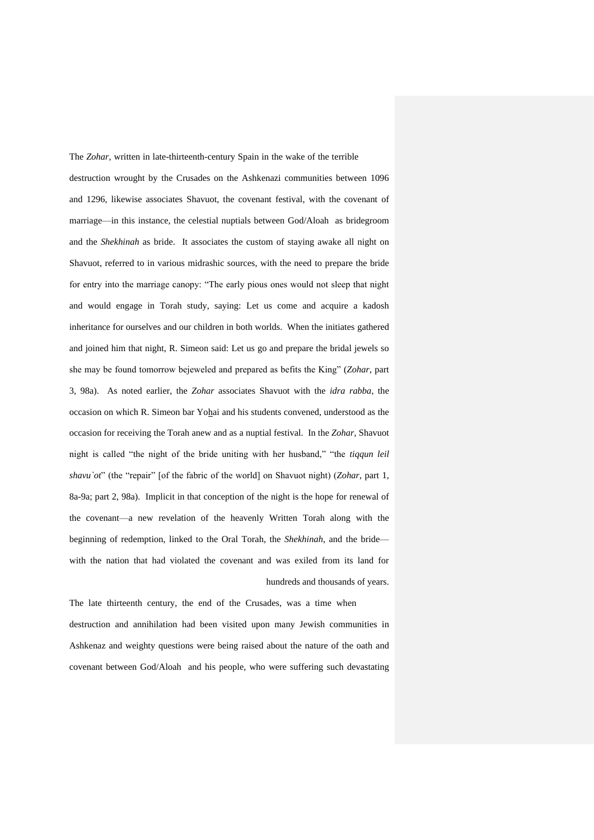The *Zohar*, written in late-thirteenth-century Spain in the wake of the terrible destruction wrought by the Crusades on the Ashkenazi communities between 1096 and 1296, likewise associates Shavuot, the covenant festival, with the covenant of marriage—in this instance, the celestial nuptials between God/Aloah as bridegroom and the *Shekhinah* as bride. It associates the custom of staying awake all night on Shavuot, referred to in various midrashic sources, with the need to prepare the bride for entry into the marriage canopy: "The early pious ones would not sleep that night and would engage in Torah study, saying: Let us come and acquire a kadosh inheritance for ourselves and our children in both worlds. When the initiates gathered and joined him that night, R. Simeon said: Let us go and prepare the bridal jewels so she may be found tomorrow bejeweled and prepared as befits the King" (*Zohar*, part 3, 98a). As noted earlier, the *Zohar* associates Shavuot with the *idra rabba*, the occasion on which R. Simeon bar Yohai and his students convened, understood as the occasion for receiving the Torah anew and as a nuptial festival. In the *Zohar*, Shavuot night is called "the night of the bride uniting with her husband," "the *tiqqun leil shavu`ot*" (the "repair" [of the fabric of the world] on Shavuot night) (*Zohar*, part 1, 8a-9a; part 2, 98a). Implicit in that conception of the night is the hope for renewal of the covenant—a new revelation of the heavenly Written Torah along with the beginning of redemption, linked to the Oral Torah, the *Shekhinah*, and the bride with the nation that had violated the covenant and was exiled from its land for hundreds and thousands of years.

The late thirteenth century, the end of the Crusades, was a time when destruction and annihilation had been visited upon many Jewish communities in Ashkenaz and weighty questions were being raised about the nature of the oath and covenant between God/Aloah and his people, who were suffering such devastating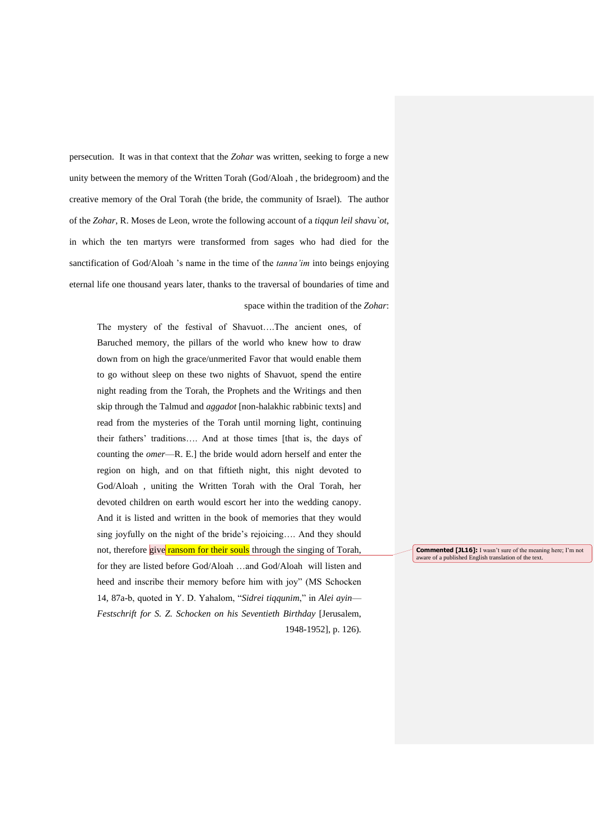persecution. It was in that context that the *Zohar* was written, seeking to forge a new unity between the memory of the Written Torah (God/Aloah , the bridegroom) and the creative memory of the Oral Torah (the bride, the community of Israel). The author of the *Zohar*, R. Moses de Leon, wrote the following account of a *tiqqun leil shavu`ot*, in which the ten martyrs were transformed from sages who had died for the sanctification of God/Aloah 's name in the time of the *tanna'im* into beings enjoying eternal life one thousand years later, thanks to the traversal of boundaries of time and space within the tradition of the *Zohar*:

The mystery of the festival of Shavuot….The ancient ones, of Baruched memory, the pillars of the world who knew how to draw down from on high the grace/unmerited Favor that would enable them to go without sleep on these two nights of Shavuot, spend the entire night reading from the Torah, the Prophets and the Writings and then skip through the Talmud and *aggadot* [non-halakhic rabbinic texts] and read from the mysteries of the Torah until morning light, continuing their fathers' traditions…. And at those times [that is, the days of counting the *omer*—R. E.] the bride would adorn herself and enter the region on high, and on that fiftieth night, this night devoted to God/Aloah , uniting the Written Torah with the Oral Torah, her devoted children on earth would escort her into the wedding canopy. And it is listed and written in the book of memories that they would sing joyfully on the night of the bride's rejoicing…. And they should not, therefore give **ransom for their souls** through the singing of Torah, for they are listed before God/Aloah …and God/Aloah will listen and heed and inscribe their memory before him with joy" (MS Schocken 14, 87a-b, quoted in Y. D. Yahalom, "*Sidrei tiqqunim*," in *Alei ayin*— *Festschrift for S. Z. Schocken on his Seventieth Birthday* [Jerusalem, 1948-1952], p. 126).

**Commented [JL16]:** I wasn't sure of the meaning here; I'm not aware of a published English translation of the text.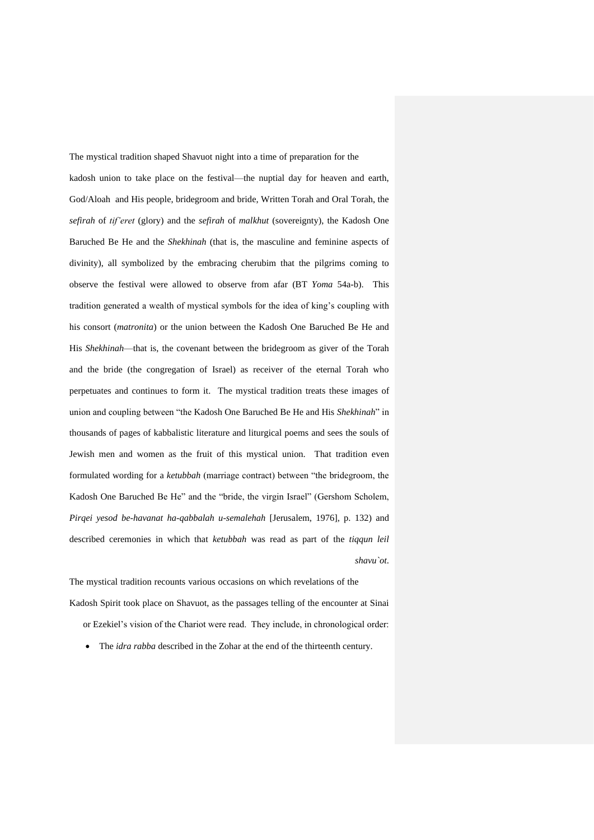The mystical tradition shaped Shavuot night into a time of preparation for the kadosh union to take place on the festival—the nuptial day for heaven and earth, God/Aloah and His people, bridegroom and bride, Written Torah and Oral Torah, the *sefirah* of *tif'eret* (glory) and the *sefirah* of *malkhut* (sovereignty), the Kadosh One Baruched Be He and the *Shekhinah* (that is, the masculine and feminine aspects of divinity), all symbolized by the embracing cherubim that the pilgrims coming to observe the festival were allowed to observe from afar (BT *Yoma* 54a-b). This tradition generated a wealth of mystical symbols for the idea of king's coupling with his consort (*matronita*) or the union between the Kadosh One Baruched Be He and His *Shekhinah*—that is, the covenant between the bridegroom as giver of the Torah and the bride (the congregation of Israel) as receiver of the eternal Torah who perpetuates and continues to form it. The mystical tradition treats these images of union and coupling between "the Kadosh One Baruched Be He and His *Shekhinah*" in thousands of pages of kabbalistic literature and liturgical poems and sees the souls of Jewish men and women as the fruit of this mystical union. That tradition even formulated wording for a *ketubbah* (marriage contract) between "the bridegroom, the Kadosh One Baruched Be He" and the "bride, the virgin Israel" (Gershom Scholem, *Pirqei yesod be-havanat ha-qabbalah u-semalehah* [Jerusalem, 1976], p. 132) and described ceremonies in which that *ketubbah* was read as part of the *tiqqun leil shavu`ot*.

The mystical tradition recounts various occasions on which revelations of the Kadosh Spirit took place on Shavuot, as the passages telling of the encounter at Sinai or Ezekiel's vision of the Chariot were read. They include, in chronological order:

• The *idra rabba* described in the Zohar at the end of the thirteenth century.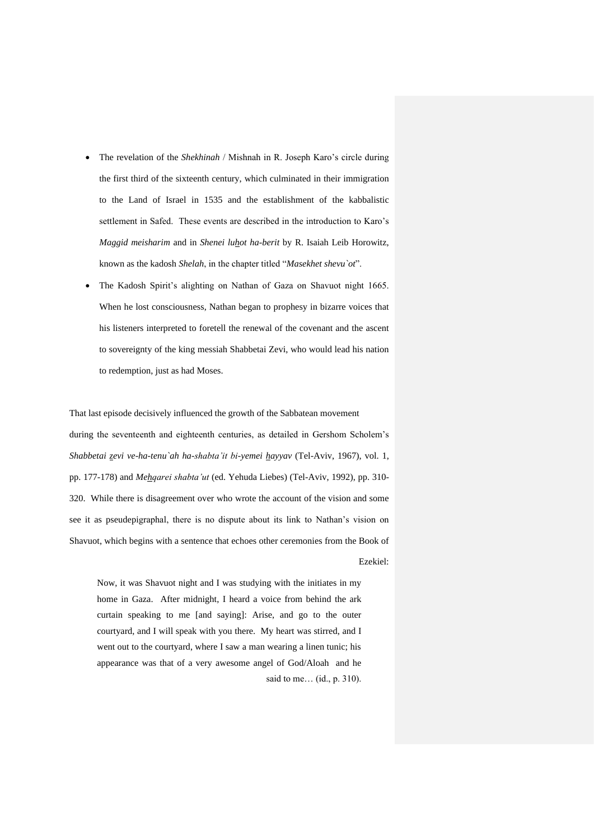- The revelation of the *Shekhinah* / Mishnah in R. Joseph Karo's circle during the first third of the sixteenth century, which culminated in their immigration to the Land of Israel in 1535 and the establishment of the kabbalistic settlement in Safed. These events are described in the introduction to Karo's *Maggid meisharim* and in *Shenei luhot ha-berit* by R. Isaiah Leib Horowitz, known as the kadosh *Shelah*, in the chapter titled "*Masekhet shevu`ot*".
- The Kadosh Spirit's alighting on Nathan of Gaza on Shavuot night 1665. When he lost consciousness, Nathan began to prophesy in bizarre voices that his listeners interpreted to foretell the renewal of the covenant and the ascent to sovereignty of the king messiah Shabbetai Zevi, who would lead his nation to redemption, just as had Moses.

That last episode decisively influenced the growth of the Sabbatean movement during the seventeenth and eighteenth centuries, as detailed in Gershom Scholem's *Shabbetai zevi ve-ha-tenu`ah ha-shabta'it bi-yemei hayyav* (Tel-Aviv, 1967), vol. 1, pp. 177-178) and *Mehqarei shabta'ut* (ed. Yehuda Liebes) (Tel-Aviv, 1992), pp. 310- 320. While there is disagreement over who wrote the account of the vision and some see it as pseudepigraphal, there is no dispute about its link to Nathan's vision on Shavuot, which begins with a sentence that echoes other ceremonies from the Book of Ezekiel:

Now, it was Shavuot night and I was studying with the initiates in my home in Gaza. After midnight, I heard a voice from behind the ark curtain speaking to me [and saying]: Arise, and go to the outer courtyard, and I will speak with you there. My heart was stirred, and I went out to the courtyard, where I saw a man wearing a linen tunic; his appearance was that of a very awesome angel of God/Aloah and he said to me… (id., p. 310).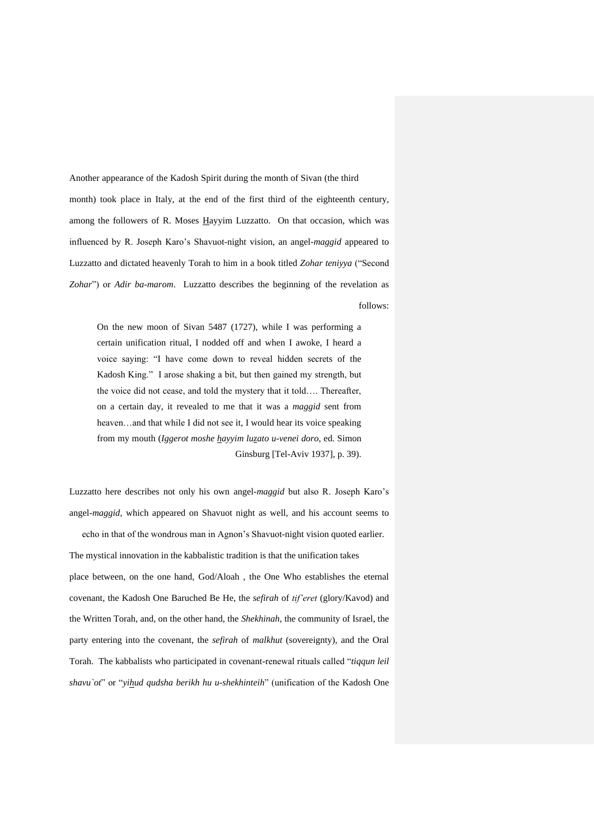Another appearance of the Kadosh Spirit during the month of Sivan (the third month) took place in Italy, at the end of the first third of the eighteenth century, among the followers of R. Moses Hayyim Luzzatto. On that occasion, which was influenced by R. Joseph Karo's Shavuot-night vision, an angel-*maggid* appeared to Luzzatto and dictated heavenly Torah to him in a book titled *Zohar teniyya* ("Second *Zohar*") or *Adir ba-marom*. Luzzatto describes the beginning of the revelation as follows:

On the new moon of Sivan 5487 (1727), while I was performing a certain unification ritual, I nodded off and when I awoke, I heard a voice saying: "I have come down to reveal hidden secrets of the Kadosh King." I arose shaking a bit, but then gained my strength, but the voice did not cease, and told the mystery that it told…. Thereafter, on a certain day, it revealed to me that it was a *maggid* sent from heaven…and that while I did not see it, I would hear its voice speaking from my mouth (*Iggerot moshe hayyim luzato u-venei doro*, ed. Simon Ginsburg [Tel-Aviv 1937], p. 39).

Luzzatto here describes not only his own angel-*maggid* but also R. Joseph Karo's angel-*maggid*, which appeared on Shavuot night as well, and his account seems to

echo in that of the wondrous man in Agnon's Shavuot-night vision quoted earlier.

The mystical innovation in the kabbalistic tradition is that the unification takes place between, on the one hand, God/Aloah , the One Who establishes the eternal covenant, the Kadosh One Baruched Be He, the *sefirah* of *tif'eret* (glory/Kavod) and the Written Torah, and, on the other hand, the *Shekhinah*, the community of Israel, the party entering into the covenant, the *sefirah* of *malkhut* (sovereignty), and the Oral Torah. The kabbalists who participated in covenant-renewal rituals called "*tiqqun leil shavu`ot*" or "*yihud qudsha berikh hu u-shekhinteih*" (unification of the Kadosh One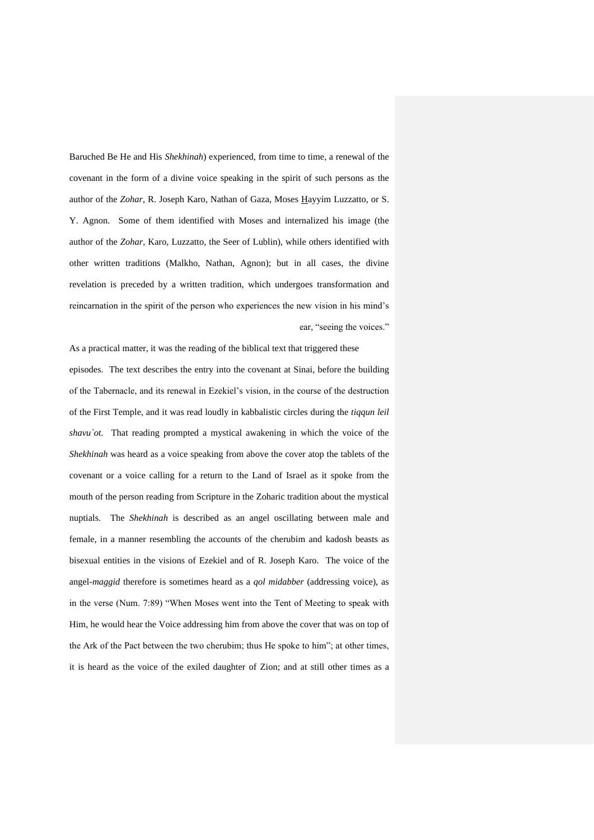Baruched Be He and His *Shekhinah*) experienced, from time to time, a renewal of the covenant in the form of a divine voice speaking in the spirit of such persons as the author of the *Zohar*, R. Joseph Karo, Nathan of Gaza, Moses Hayyim Luzzatto, or S. Y. Agnon. Some of them identified with Moses and internalized his image (the author of the *Zohar*, Karo, Luzzatto, the Seer of Lublin), while others identified with other written traditions (Malkho, Nathan, Agnon); but in all cases, the divine revelation is preceded by a written tradition, which undergoes transformation and reincarnation in the spirit of the person who experiences the new vision in his mind's ear, "seeing the voices."

As a practical matter, it was the reading of the biblical text that triggered these episodes. The text describes the entry into the covenant at Sinai, before the building of the Tabernacle, and its renewal in Ezekiel's vision, in the course of the destruction of the First Temple, and it was read loudly in kabbalistic circles during the *tiqqun leil shavu`ot*. That reading prompted a mystical awakening in which the voice of the *Shekhinah* was heard as a voice speaking from above the cover atop the tablets of the covenant or a voice calling for a return to the Land of Israel as it spoke from the mouth of the person reading from Scripture in the Zoharic tradition about the mystical nuptials. The *Shekhinah* is described as an angel oscillating between male and female, in a manner resembling the accounts of the cherubim and kadosh beasts as bisexual entities in the visions of Ezekiel and of R. Joseph Karo. The voice of the angel-*maggid* therefore is sometimes heard as a *qol midabber* (addressing voice), as in the verse (Num. 7:89) "When Moses went into the Tent of Meeting to speak with Him, he would hear the Voice addressing him from above the cover that was on top of the Ark of the Pact between the two cherubim; thus He spoke to him"; at other times, it is heard as the voice of the exiled daughter of Zion; and at still other times as a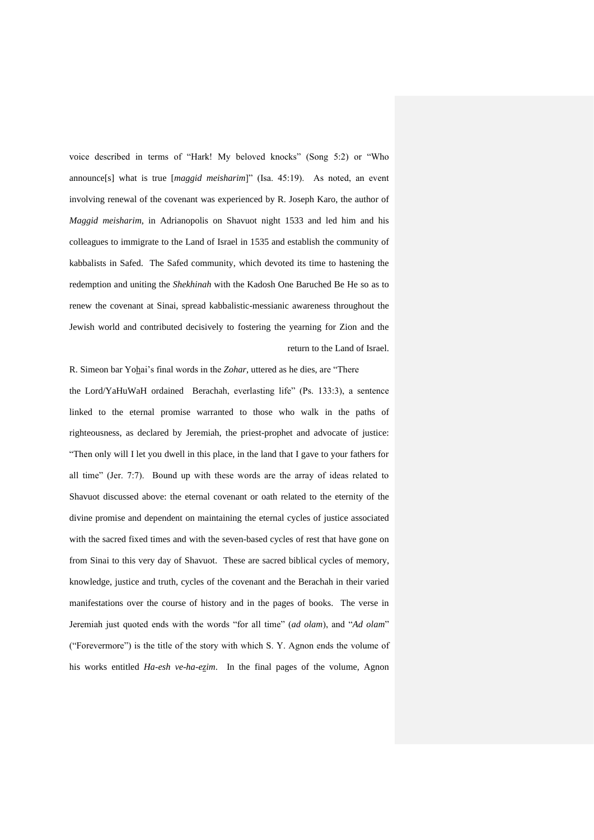voice described in terms of "Hark! My beloved knocks" (Song 5:2) or "Who announce[s] what is true [*maggid meisharim*]" (Isa. 45:19). As noted, an event involving renewal of the covenant was experienced by R. Joseph Karo, the author of *Maggid meisharim*, in Adrianopolis on Shavuot night 1533 and led him and his colleagues to immigrate to the Land of Israel in 1535 and establish the community of kabbalists in Safed. The Safed community, which devoted its time to hastening the redemption and uniting the *Shekhinah* with the Kadosh One Baruched Be He so as to renew the covenant at Sinai, spread kabbalistic-messianic awareness throughout the Jewish world and contributed decisively to fostering the yearning for Zion and the return to the Land of Israel.

R. Simeon bar Yohai's final words in the *Zohar*, uttered as he dies, are "There the Lord/YaHuWaH ordained Berachah, everlasting life" (Ps. 133:3), a sentence linked to the eternal promise warranted to those who walk in the paths of righteousness, as declared by Jeremiah, the priest-prophet and advocate of justice: "Then only will I let you dwell in this place, in the land that I gave to your fathers for all time" (Jer. 7:7). Bound up with these words are the array of ideas related to Shavuot discussed above: the eternal covenant or oath related to the eternity of the divine promise and dependent on maintaining the eternal cycles of justice associated with the sacred fixed times and with the seven-based cycles of rest that have gone on from Sinai to this very day of Shavuot. These are sacred biblical cycles of memory, knowledge, justice and truth, cycles of the covenant and the Berachah in their varied manifestations over the course of history and in the pages of books. The verse in Jeremiah just quoted ends with the words "for all time" (*ad olam*), and "*Ad olam*" ("Forevermore") is the title of the story with which S. Y. Agnon ends the volume of his works entitled *Ha-esh ve-ha-ezim*. In the final pages of the volume, Agnon